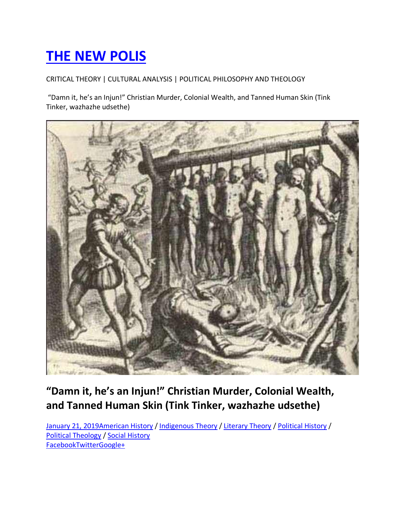# **THE NEW POLIS**

# CRITICAL THEORY | CULTURAL ANALYSIS | POLITICAL PHILOSOPHY AND THEOLOGY

"Damn it, he's an Injun!" Christian Murder, Colonial Wealth, and Tanned Human Skin (Tink Tinker, wazhazhe udsethe)



# **"Damn it, he's an Injun!" Christian Murder, Colonial Wealth, and Tanned Human Skin (Tink Tinker, wazhazhe udsethe)**

January 21, 2019American History / Indigenous Theory / Literary Theory / Political History / Political Theology / Social History FacebookTwitterGoogle+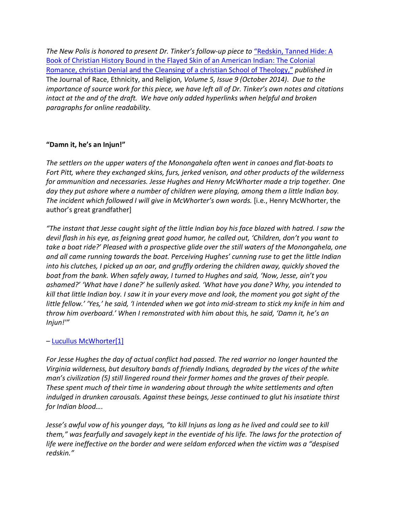*The New Polis is honored to present Dr. Tinker's follow-up piece to "Redskin, Tanned Hide: A* Book of Christian History Bound in the Flayed Skin of an American Indian: The Colonial Romance, christian Denial and the Cleansing of a christian School of Theology," *published in*  The Journal of Race, Ethnicity, and Religion*, Volume 5, Issue 9 (October 2014)*. *Due to the importance of source work for this piece, we have left all of Dr. Tinker's own notes and citations intact at the and of the draft. We have only added hyperlinks when helpful and broken paragraphs for online readability.*

# **"Damn it, he's an Injun!"**

*The settlers on the upper waters of the Monongahela often went in canoes and flat-boats to Fort Pitt, where they exchanged skins, furs, jerked venison, and other products of the wilderness for ammunition and necessaries. Jesse Hughes and Henry McWhorter made a trip together. One day they put ashore where a number of children were playing, among them a little Indian boy. The incident which followed I will give in McWhorter's own words.* [i.e., Henry McWhorter, the author's great grandfather]

*"The instant that Jesse caught sight of the little Indian boy his face blazed with hatred. I saw the devil flash in his eye, as feigning great good humor, he called out, 'Children, don't you want to take a boat ride?' Pleased with a prospective glide over the still waters of the Monongahela, one and all came running towards the boat. Perceiving Hughes' cunning ruse to get the little Indian into his clutches, I picked up an oar, and gruffly ordering the children away, quickly shoved the boat from the bank. When safely away, I turned to Hughes and said, 'Now, Jesse, ain't you ashamed?' 'What have I done?' he sullenly asked. 'What have you done? Why, you intended to kill that little Indian boy. I saw it in your every move and look, the moment you got sight of the little fellow.' 'Yes,' he said, 'I intended when we got into mid-stream to stick my knife in him and throw him overboard.' When I remonstrated with him about this, he said, 'Damn it, he's an Injun!'"*

# – Lucullus McWhorter[1]

*For Jesse Hughes the day of actual conflict had passed. The red warrior no longer haunted the Virginia wilderness, but desultory bands of friendly Indians, degraded by the vices of the white man's civilization (5) still lingered round their former homes and the graves of their people. These spent much of their time in wandering about through the white settlements and often indulged in drunken carousals. Against these beings, Jesse continued to glut his insatiate thirst for Indian blood….*

*Jesse's awful vow of his younger days, "to kill Injuns as long as he lived and could see to kill them," was fearfully and savagely kept in the eventide of his life. The laws for the protection of life were ineffective on the border and were seldom enforced when the victim was a "despised redskin."*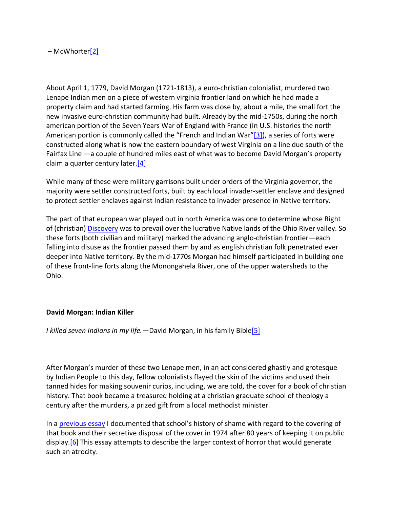– McWhorter[2]

About April 1, 1779, David Morgan (1721-1813), a euro-christian colonialist, murdered two Lenape Indian men on a piece of western virginia frontier land on which he had made a property claim and had started farming. His farm was close by, about a mile, the small fort the new invasive euro-christian community had built. Already by the mid-1750s, during the north american portion of the Seven Years War of England with France (in U.S. histories the north American portion is commonly called the "French and Indian War"[3]), a series of forts were constructed along what is now the eastern boundary of west Virginia on a line due south of the Fairfax Line —a couple of hundred miles east of what was to become David Morgan's property claim a quarter century later.[4]

While many of these were military garrisons built under orders of the Virginia governor, the majority were settler constructed forts, built by each local invader-settler enclave and designed to protect settler enclaves against Indian resistance to invader presence in Native territory.

The part of that european war played out in north America was one to determine whose Right of (christian) Discovery was to prevail over the lucrative Native lands of the Ohio River valley. So these forts (both civilian and military) marked the advancing anglo-christian frontier—each falling into disuse as the frontier passed them by and as english christian folk penetrated ever deeper into Native territory. By the mid-1770s Morgan had himself participated in building one of these front-line forts along the Monongahela River, one of the upper watersheds to the Ohio.

#### **David Morgan: Indian Killer**

*I killed seven Indians in my life.*—David Morgan, in his family Bible[5]

After Morgan's murder of these two Lenape men, in an act considered ghastly and grotesque by Indian People to this day, fellow colonialists flayed the skin of the victims and used their tanned hides for making souvenir curios, including, we are told, the cover for a book of christian history. That book became a treasured holding at a christian graduate school of theology a century after the murders, a prized gift from a local methodist minister.

In a previous essay I documented that school's history of shame with regard to the covering of that book and their secretive disposal of the cover in 1974 after 80 years of keeping it on public display.  $[6]$  This essay attempts to describe the larger context of horror that would generate such an atrocity.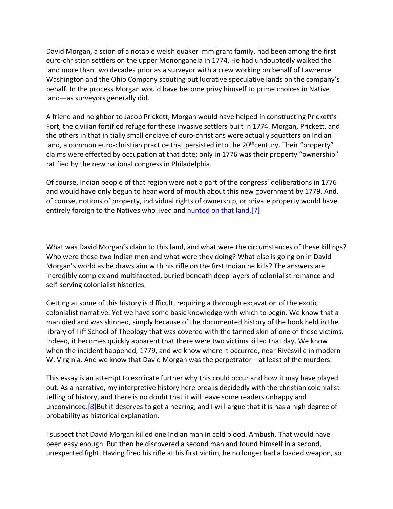David Morgan, a scion of a notable welsh quaker immigrant family, had been among the first euro-christian settlers on the upper Monongahela in 1774. He had undoubtedly walked the land more than two decades prior as a surveyor with a crew working on behalf of Lawrence Washington and the Ohio Company scouting out lucrative speculative lands on the company's behalf. In the process Morgan would have become privy himself to prime choices in Native land—as surveyors generally did.

A friend and neighbor to Jacob Prickett, Morgan would have helped in constructing Prickett's Fort, the civilian fortified refuge for these invasive settlers built in 1774. Morgan, Prickett, and the others in that initially small enclave of euro-christians were actually squatters on Indian land, a common euro-christian practice that persisted into the 20<sup>th</sup>century. Their "property" claims were effected by occupation at that date; only in 1776 was their property "ownership" ratified by the new national congress in Philadelphia.

Of course, Indian people of that region were not a part of the congress' deliberations in 1776 and would have only begun to hear word of mouth about this new government by 1779. And, of course, notions of property, individual rights of ownership, or private property would have entirely foreign to the Natives who lived and hunted on that land.[7]

What was David Morgan's claim to this land, and what were the circumstances of these killings? Who were these two Indian men and what were they doing? What else is going on in David Morgan's world as he draws aim with his rifle on the first Indian he kills? The answers are incredibly complex and multifaceted, buried beneath deep layers of colonialist romance and self-serving colonialist histories.

Getting at some of this history is difficult, requiring a thorough excavation of the exotic colonialist narrative. Yet we have some basic knowledge with which to begin. We know that a man died and was skinned, simply because of the documented history of the book held in the library of Iliff School of Theology that was covered with the tanned skin of one of these victims. Indeed, it becomes quickly apparent that there were two victims killed that day. We know when the incident happened, 1779, and we know where it occurred, near Rivesville in modern W. Virginia. And we know that David Morgan was the perpetrator—at least of the murders.

This essay is an attempt to explicate further why this could occur and how it may have played out. As a narrative, my interpretive history here breaks decidedly with the christian colonialist telling of history, and there is no doubt that it will leave some readers unhappy and unconvinced.<sup>[8]</sup>But it deserves to get a hearing, and I will argue that it is has a high degree of probability as historical explanation.

I suspect that David Morgan killed one Indian man in cold blood. Ambush. That would have been easy enough. But then he discovered a second man and found himself in a second, unexpected fight. Having fired his rifle at his first victim, he no longer had a loaded weapon, so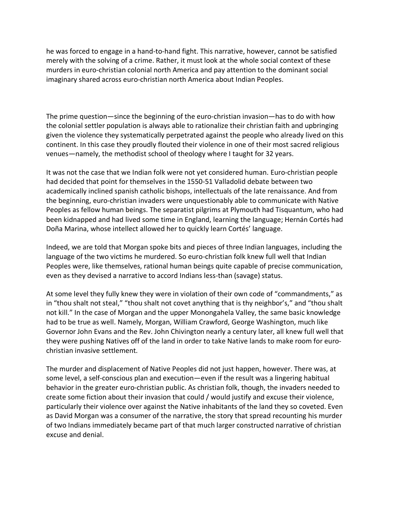he was forced to engage in a hand-to-hand fight. This narrative, however, cannot be satisfied merely with the solving of a crime. Rather, it must look at the whole social context of these murders in euro-christian colonial north America and pay attention to the dominant social imaginary shared across euro-christian north America about Indian Peoples.

The prime question—since the beginning of the euro-christian invasion—has to do with how the colonial settler population is always able to rationalize their christian faith and upbringing given the violence they systematically perpetrated against the people who already lived on this continent. In this case they proudly flouted their violence in one of their most sacred religious venues—namely, the methodist school of theology where I taught for 32 years.

It was not the case that we Indian folk were not yet considered human. Euro-christian people had decided that point for themselves in the 1550-51 Valladolid debate between two academically inclined spanish catholic bishops, intellectuals of the late renaissance. And from the beginning, euro-christian invaders were unquestionably able to communicate with Native Peoples as fellow human beings. The separatist pilgrims at Plymouth had Tisquantum, who had been kidnapped and had lived some time in England, learning the language; Hernán Cortés had Doña Marina, whose intellect allowed her to quickly learn Cortés' language.

Indeed, we are told that Morgan spoke bits and pieces of three Indian languages, including the language of the two victims he murdered. So euro-christian folk knew full well that Indian Peoples were, like themselves, rational human beings quite capable of precise communication, even as they devised a narrative to accord Indians less-than (savage) status.

At some level they fully knew they were in violation of their own code of "commandments," as in "thou shalt not steal," "thou shalt not covet anything that is thy neighbor's," and "thou shalt not kill." In the case of Morgan and the upper Monongahela Valley, the same basic knowledge had to be true as well. Namely, Morgan, William Crawford, George Washington, much like Governor John Evans and the Rev. John Chivington nearly a century later, all knew full well that they were pushing Natives off of the land in order to take Native lands to make room for eurochristian invasive settlement.

The murder and displacement of Native Peoples did not just happen, however. There was, at some level, a self-conscious plan and execution—even if the result was a lingering habitual behavior in the greater euro-christian public. As christian folk, though, the invaders needed to create some fiction about their invasion that could / would justify and excuse their violence, particularly their violence over against the Native inhabitants of the land they so coveted. Even as David Morgan was a consumer of the narrative, the story that spread recounting his murder of two Indians immediately became part of that much larger constructed narrative of christian excuse and denial.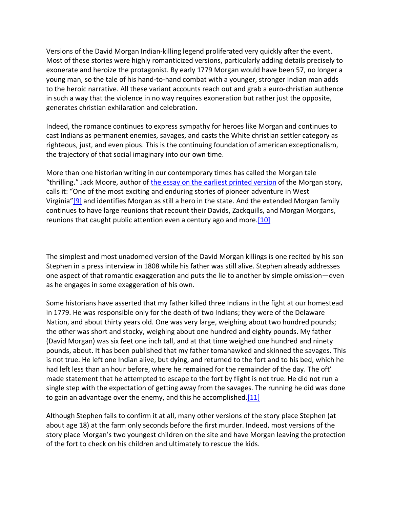Versions of the David Morgan Indian-killing legend proliferated very quickly after the event. Most of these stories were highly romanticized versions, particularly adding details precisely to exonerate and heroize the protagonist. By early 1779 Morgan would have been 57, no longer a young man, so the tale of his hand-to-hand combat with a younger, stronger Indian man adds to the heroic narrative. All these variant accounts reach out and grab a euro-christian authence in such a way that the violence in no way requires exoneration but rather just the opposite, generates christian exhilaration and celebration.

Indeed, the romance continues to express sympathy for heroes like Morgan and continues to cast Indians as permanent enemies, savages, and casts the White christian settler category as righteous, just, and even pious. This is the continuing foundation of american exceptionalism, the trajectory of that social imaginary into our own time.

More than one historian writing in our contemporary times has called the Morgan tale "thrilling." Jack Moore, author of the essay on the earliest printed version of the Morgan story, calls it: "One of the most exciting and enduring stories of pioneer adventure in West Virginia"[9] and identifies Morgan as still a hero in the state. And the extended Morgan family continues to have large reunions that recount their Davids, Zackquills, and Morgan Morgans, reunions that caught public attention even a century ago and more.[10]

The simplest and most unadorned version of the David Morgan killings is one recited by his son Stephen in a press interview in 1808 while his father was still alive. Stephen already addresses one aspect of that romantic exaggeration and puts the lie to another by simple omission—even as he engages in some exaggeration of his own.

Some historians have asserted that my father killed three Indians in the fight at our homestead in 1779. He was responsible only for the death of two Indians; they were of the Delaware Nation, and about thirty years old. One was very large, weighing about two hundred pounds; the other was short and stocky, weighing about one hundred and eighty pounds. My father (David Morgan) was six feet one inch tall, and at that time weighed one hundred and ninety pounds, about. It has been published that my father tomahawked and skinned the savages. This is not true. He left one Indian alive, but dying, and returned to the fort and to his bed, which he had left less than an hour before, where he remained for the remainder of the day. The oft' made statement that he attempted to escape to the fort by flight is not true. He did not run a single step with the expectation of getting away from the savages. The running he did was done to gain an advantage over the enemy, and this he accomplished. $[11]$ 

Although Stephen fails to confirm it at all, many other versions of the story place Stephen (at about age 18) at the farm only seconds before the first murder. Indeed, most versions of the story place Morgan's two youngest children on the site and have Morgan leaving the protection of the fort to check on his children and ultimately to rescue the kids.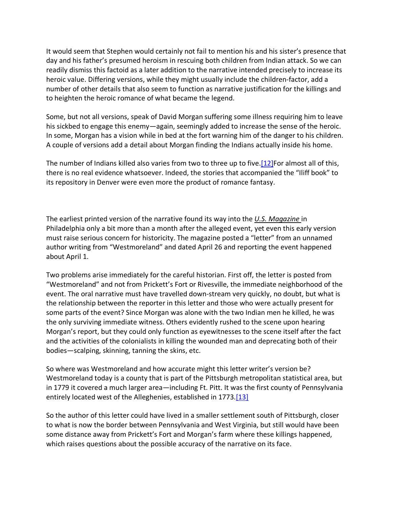It would seem that Stephen would certainly not fail to mention his and his sister's presence that day and his father's presumed heroism in rescuing both children from Indian attack. So we can readily dismiss this factoid as a later addition to the narrative intended precisely to increase its heroic value. Differing versions, while they might usually include the children-factor, add a number of other details that also seem to function as narrative justification for the killings and to heighten the heroic romance of what became the legend.

Some, but not all versions, speak of David Morgan suffering some illness requiring him to leave his sickbed to engage this enemy—again, seemingly added to increase the sense of the heroic. In some, Morgan has a vision while in bed at the fort warning him of the danger to his children. A couple of versions add a detail about Morgan finding the Indians actually inside his home.

The number of Indians killed also varies from two to three up to five.[12]For almost all of this, there is no real evidence whatsoever. Indeed, the stories that accompanied the "Iliff book" to its repository in Denver were even more the product of romance fantasy.

The earliest printed version of the narrative found its way into the *U.S. Magazine* in Philadelphia only a bit more than a month after the alleged event, yet even this early version must raise serious concern for historicity. The magazine posted a "letter" from an unnamed author writing from "Westmoreland" and dated April 26 and reporting the event happened about April 1.

Two problems arise immediately for the careful historian. First off, the letter is posted from "Westmoreland" and not from Prickett's Fort or Rivesville, the immediate neighborhood of the event. The oral narrative must have travelled down-stream very quickly, no doubt, but what is the relationship between the reporter in this letter and those who were actually present for some parts of the event? Since Morgan was alone with the two Indian men he killed, he was the only surviving immediate witness. Others evidently rushed to the scene upon hearing Morgan's report, but they could only function as eyewitnesses to the scene itself after the fact and the activities of the colonialists in killing the wounded man and deprecating both of their bodies—scalping, skinning, tanning the skins, etc.

So where was Westmoreland and how accurate might this letter writer's version be? Westmoreland today is a county that is part of the Pittsburgh metropolitan statistical area, but in 1779 it covered a much larger area—including Ft. Pitt. It was the first county of Pennsylvania entirely located west of the Alleghenies, established in 1773.[13]

So the author of this letter could have lived in a smaller settlement south of Pittsburgh, closer to what is now the border between Pennsylvania and West Virginia, but still would have been some distance away from Prickett's Fort and Morgan's farm where these killings happened, which raises questions about the possible accuracy of the narrative on its face.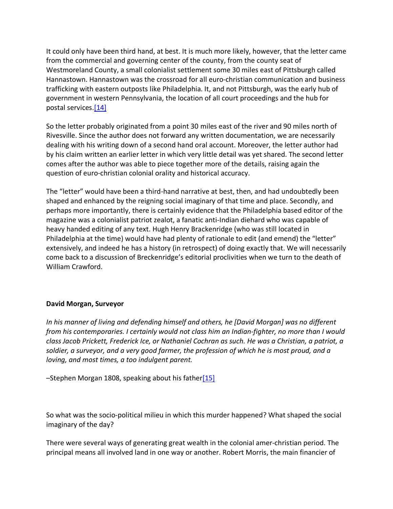It could only have been third hand, at best. It is much more likely, however, that the letter came from the commercial and governing center of the county, from the county seat of Westmoreland County, a small colonialist settlement some 30 miles east of Pittsburgh called Hannastown. Hannastown was the crossroad for all euro-christian communication and business trafficking with eastern outposts like Philadelphia. It, and not Pittsburgh, was the early hub of government in western Pennsylvania, the location of all court proceedings and the hub for postal services.[14]

So the letter probably originated from a point 30 miles east of the river and 90 miles north of Rivesville. Since the author does not forward any written documentation, we are necessarily dealing with his writing down of a second hand oral account. Moreover, the letter author had by his claim written an earlier letter in which very little detail was yet shared. The second letter comes after the author was able to piece together more of the details, raising again the question of euro-christian colonial orality and historical accuracy.

The "letter" would have been a third-hand narrative at best, then, and had undoubtedly been shaped and enhanced by the reigning social imaginary of that time and place. Secondly, and perhaps more importantly, there is certainly evidence that the Philadelphia based editor of the magazine was a colonialist patriot zealot, a fanatic anti-Indian diehard who was capable of heavy handed editing of any text. Hugh Henry Brackenridge (who was still located in Philadelphia at the time) would have had plenty of rationale to edit (and emend) the "letter" extensively, and indeed he has a history (in retrospect) of doing exactly that. We will necessarily come back to a discussion of Breckenridge's editorial proclivities when we turn to the death of William Crawford.

#### **David Morgan, Surveyor**

*In his manner of living and defending himself and others, he [David Morgan] was no different from his contemporaries. I certainly would not class him an Indian-fighter, no more than I would class Jacob Prickett, Frederick Ice, or Nathaniel Cochran as such. He was a Christian, a patriot, a soldier, a surveyor, and a very good farmer, the profession of which he is most proud, and a loving, and most times, a too indulgent parent.*

 $-$ Stephen Morgan 1808, speaking about his father $[15]$ 

So what was the socio-political milieu in which this murder happened? What shaped the social imaginary of the day?

There were several ways of generating great wealth in the colonial amer-christian period. The principal means all involved land in one way or another. Robert Morris, the main financier of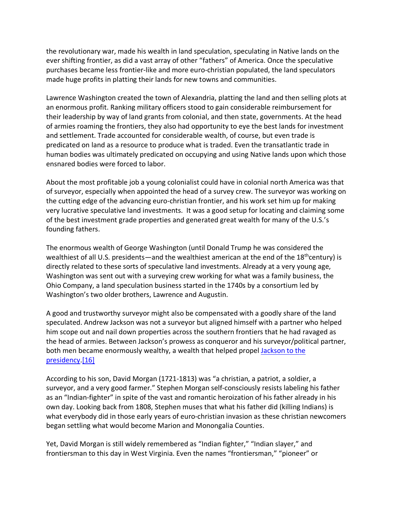the revolutionary war, made his wealth in land speculation, speculating in Native lands on the ever shifting frontier, as did a vast array of other "fathers" of America. Once the speculative purchases became less frontier-like and more euro-christian populated, the land speculators made huge profits in platting their lands for new towns and communities.

Lawrence Washington created the town of Alexandria, platting the land and then selling plots at an enormous profit. Ranking military officers stood to gain considerable reimbursement for their leadership by way of land grants from colonial, and then state, governments. At the head of armies roaming the frontiers, they also had opportunity to eye the best lands for investment and settlement. Trade accounted for considerable wealth, of course, but even trade is predicated on land as a resource to produce what is traded. Even the transatlantic trade in human bodies was ultimately predicated on occupying and using Native lands upon which those ensnared bodies were forced to labor.

About the most profitable job a young colonialist could have in colonial north America was that of surveyor, especially when appointed the head of a survey crew. The surveyor was working on the cutting edge of the advancing euro-christian frontier, and his work set him up for making very lucrative speculative land investments. It was a good setup for locating and claiming some of the best investment grade properties and generated great wealth for many of the U.S.'s founding fathers.

The enormous wealth of George Washington (until Donald Trump he was considered the wealthiest of all U.S. presidents—and the wealthiest american at the end of the  $18<sup>th</sup>$ century) is directly related to these sorts of speculative land investments. Already at a very young age, Washington was sent out with a surveying crew working for what was a family business, the Ohio Company, a land speculation business started in the 1740s by a consortium led by Washington's two older brothers, Lawrence and Augustin.

A good and trustworthy surveyor might also be compensated with a goodly share of the land speculated. Andrew Jackson was not a surveyor but aligned himself with a partner who helped him scope out and nail down properties across the southern frontiers that he had ravaged as the head of armies. Between Jackson's prowess as conqueror and his surveyor/political partner, both men became enormously wealthy, a wealth that helped propel Jackson to the presidency.[16]

According to his son, David Morgan (1721-1813) was "a christian, a patriot, a soldier, a surveyor, and a very good farmer." Stephen Morgan self-consciously resists labeling his father as an "Indian-fighter" in spite of the vast and romantic heroization of his father already in his own day. Looking back from 1808, Stephen muses that what his father did (killing Indians) is what everybody did in those early years of euro-christian invasion as these christian newcomers began settling what would become Marion and Monongalia Counties.

Yet, David Morgan is still widely remembered as "Indian fighter," "Indian slayer," and frontiersman to this day in West Virginia. Even the names "frontiersman," "pioneer" or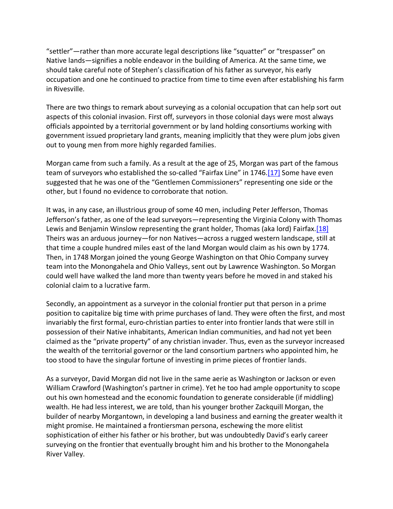"settler"—rather than more accurate legal descriptions like "squatter" or "trespasser" on Native lands—signifies a noble endeavor in the building of America. At the same time, we should take careful note of Stephen's classification of his father as surveyor, his early occupation and one he continued to practice from time to time even after establishing his farm in Rivesville.

There are two things to remark about surveying as a colonial occupation that can help sort out aspects of this colonial invasion. First off, surveyors in those colonial days were most always officials appointed by a territorial government or by land holding consortiums working with government issued proprietary land grants, meaning implicitly that they were plum jobs given out to young men from more highly regarded families.

Morgan came from such a family. As a result at the age of 25, Morgan was part of the famous team of surveyors who established the so-called "Fairfax Line" in 1746.[17] Some have even suggested that he was one of the "Gentlemen Commissioners" representing one side or the other, but I found no evidence to corroborate that notion.

It was, in any case, an illustrious group of some 40 men, including Peter Jefferson, Thomas Jefferson's father, as one of the lead surveyors—representing the Virginia Colony with Thomas Lewis and Benjamin Winslow representing the grant holder, Thomas (aka lord) Fairfax.[18] Theirs was an arduous journey—for non Natives—across a rugged western landscape, still at that time a couple hundred miles east of the land Morgan would claim as his own by 1774. Then, in 1748 Morgan joined the young George Washington on that Ohio Company survey team into the Monongahela and Ohio Valleys, sent out by Lawrence Washington. So Morgan could well have walked the land more than twenty years before he moved in and staked his colonial claim to a lucrative farm.

Secondly, an appointment as a surveyor in the colonial frontier put that person in a prime position to capitalize big time with prime purchases of land. They were often the first, and most invariably the first formal, euro-christian parties to enter into frontier lands that were still in possession of their Native inhabitants, American Indian communities, and had not yet been claimed as the "private property" of any christian invader. Thus, even as the surveyor increased the wealth of the territorial governor or the land consortium partners who appointed him, he too stood to have the singular fortune of investing in prime pieces of frontier lands.

As a surveyor, David Morgan did not live in the same aerie as Washington or Jackson or even William Crawford (Washington's partner in crime). Yet he too had ample opportunity to scope out his own homestead and the economic foundation to generate considerable (if middling) wealth. He had less interest, we are told, than his younger brother Zackquill Morgan, the builder of nearby Morgantown, in developing a land business and earning the greater wealth it might promise. He maintained a frontiersman persona, eschewing the more elitist sophistication of either his father or his brother, but was undoubtedly David's early career surveying on the frontier that eventually brought him and his brother to the Monongahela River Valley.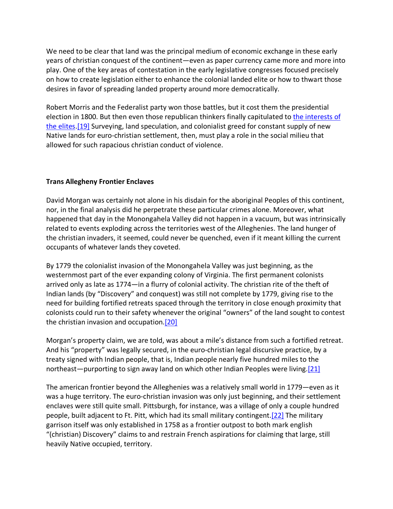We need to be clear that land was the principal medium of economic exchange in these early years of christian conquest of the continent—even as paper currency came more and more into play. One of the key areas of contestation in the early legislative congresses focused precisely on how to create legislation either to enhance the colonial landed elite or how to thwart those desires in favor of spreading landed property around more democratically.

Robert Morris and the Federalist party won those battles, but it cost them the presidential election in 1800. But then even those republican thinkers finally capitulated to the interests of the elites.[19] Surveying, land speculation, and colonialist greed for constant supply of new Native lands for euro-christian settlement, then, must play a role in the social milieu that allowed for such rapacious christian conduct of violence.

# **Trans Allegheny Frontier Enclaves**

David Morgan was certainly not alone in his disdain for the aboriginal Peoples of this continent, nor, in the final analysis did he perpetrate these particular crimes alone. Moreover, what happened that day in the Monongahela Valley did not happen in a vacuum, but was intrinsically related to events exploding across the territories west of the Alleghenies. The land hunger of the christian invaders, it seemed, could never be quenched, even if it meant killing the current occupants of whatever lands they coveted.

By 1779 the colonialist invasion of the Monongahela Valley was just beginning, as the westernmost part of the ever expanding colony of Virginia. The first permanent colonists arrived only as late as 1774—in a flurry of colonial activity. The christian rite of the theft of Indian lands (by "Discovery" and conquest) was still not complete by 1779, giving rise to the need for building fortified retreats spaced through the territory in close enough proximity that colonists could run to their safety whenever the original "owners" of the land sought to contest the christian invasion and occupation.[20]

Morgan's property claim, we are told, was about a mile's distance from such a fortified retreat. And his "property" was legally secured, in the euro-christian legal discursive practice, by a treaty signed with Indian people, that is, Indian people nearly five hundred miles to the northeast—purporting to sign away land on which other Indian Peoples were living.[21]

The american frontier beyond the Alleghenies was a relatively small world in 1779—even as it was a huge territory. The euro-christian invasion was only just beginning, and their settlement enclaves were still quite small. Pittsburgh, for instance, was a village of only a couple hundred people, built adjacent to Ft. Pitt, which had its small military contingent.[22] The military garrison itself was only established in 1758 as a frontier outpost to both mark english "(christian) Discovery" claims to and restrain French aspirations for claiming that large, still heavily Native occupied, territory.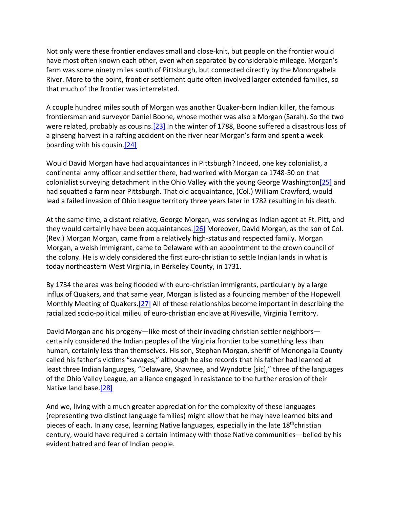Not only were these frontier enclaves small and close-knit, but people on the frontier would have most often known each other, even when separated by considerable mileage. Morgan's farm was some ninety miles south of Pittsburgh, but connected directly by the Monongahela River. More to the point, frontier settlement quite often involved larger extended families, so that much of the frontier was interrelated.

A couple hundred miles south of Morgan was another Quaker-born Indian killer, the famous frontiersman and surveyor Daniel Boone, whose mother was also a Morgan (Sarah). So the two were related, probably as cousins.[23] In the winter of 1788, Boone suffered a disastrous loss of a ginseng harvest in a rafting accident on the river near Morgan's farm and spent a week boarding with his cousin.[24]

Would David Morgan have had acquaintances in Pittsburgh? Indeed, one key colonialist, a continental army officer and settler there, had worked with Morgan ca 1748-50 on that colonialist surveying detachment in the Ohio Valley with the young George Washington[25] and had squatted a farm near Pittsburgh. That old acquaintance, (Col.) William Crawford, would lead a failed invasion of Ohio League territory three years later in 1782 resulting in his death.

At the same time, a distant relative, George Morgan, was serving as Indian agent at Ft. Pitt, and they would certainly have been acquaintances.<sup>[26]</sup> Moreover, David Morgan, as the son of Col. (Rev.) Morgan Morgan, came from a relatively high-status and respected family. Morgan Morgan, a welsh immigrant, came to Delaware with an appointment to the crown council of the colony. He is widely considered the first euro-christian to settle Indian lands in what is today northeastern West Virginia, in Berkeley County, in 1731.

By 1734 the area was being flooded with euro-christian immigrants, particularly by a large influx of Quakers, and that same year, Morgan is listed as a founding member of the Hopewell Monthly Meeting of Quakers.[27] All of these relationships become important in describing the racialized socio-political milieu of euro-christian enclave at Rivesville, Virginia Territory.

David Morgan and his progeny—like most of their invading christian settler neighbors certainly considered the Indian peoples of the Virginia frontier to be something less than human, certainly less than themselves. His son, Stephan Morgan, sheriff of Monongalia County called his father's victims "savages," although he also records that his father had learned at least three Indian languages, "Delaware, Shawnee, and Wyndotte [sic]," three of the languages of the Ohio Valley League, an alliance engaged in resistance to the further erosion of their Native land base.[28]

And we, living with a much greater appreciation for the complexity of these languages (representing two distinct language families) might allow that he may have learned bits and pieces of each. In any case, learning Native languages, especially in the late 18<sup>th</sup>christian century, would have required a certain intimacy with those Native communities—belied by his evident hatred and fear of Indian people.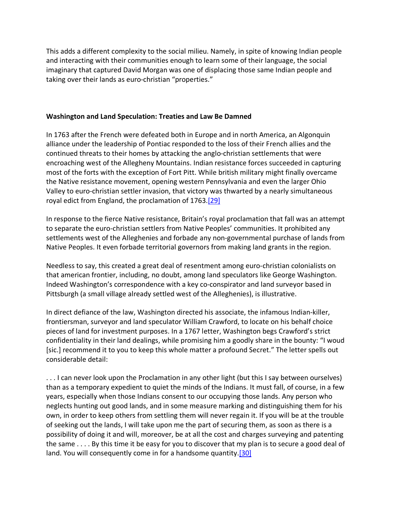This adds a different complexity to the social milieu. Namely, in spite of knowing Indian people and interacting with their communities enough to learn some of their language, the social imaginary that captured David Morgan was one of displacing those same Indian people and taking over their lands as euro-christian "properties."

#### **Washington and Land Speculation: Treaties and Law Be Damned**

In 1763 after the French were defeated both in Europe and in north America, an Algonquin alliance under the leadership of Pontiac responded to the loss of their French allies and the continued threats to their homes by attacking the anglo-christian settlements that were encroaching west of the Allegheny Mountains. Indian resistance forces succeeded in capturing most of the forts with the exception of Fort Pitt. While british military might finally overcame the Native resistance movement, opening western Pennsylvania and even the larger Ohio Valley to euro-christian settler invasion, that victory was thwarted by a nearly simultaneous royal edict from England, the proclamation of 1763.<sup>[29]</sup>

In response to the fierce Native resistance, Britain's royal proclamation that fall was an attempt to separate the euro-christian settlers from Native Peoples' communities. It prohibited any settlements west of the Alleghenies and forbade any non-governmental purchase of lands from Native Peoples. It even forbade territorial governors from making land grants in the region.

Needless to say, this created a great deal of resentment among euro-christian colonialists on that american frontier, including, no doubt, among land speculators like George Washington. Indeed Washington's correspondence with a key co-conspirator and land surveyor based in Pittsburgh (a small village already settled west of the Alleghenies), is illustrative.

In direct defiance of the law, Washington directed his associate, the infamous Indian-killer, frontiersman, surveyor and land speculator William Crawford, to locate on his behalf choice pieces of land for investment purposes. In a 1767 letter, Washington begs Crawford's strict confidentiality in their land dealings, while promising him a goodly share in the bounty: "I woud [sic.] recommend it to you to keep this whole matter a profound Secret." The letter spells out considerable detail:

. . . I can never look upon the Proclamation in any other light (but this I say between ourselves) than as a temporary expedient to quiet the minds of the Indians. It must fall, of course, in a few years, especially when those Indians consent to our occupying those lands. Any person who neglects hunting out good lands, and in some measure marking and distinguishing them for his own, in order to keep others from settling them will never regain it. If you will be at the trouble of seeking out the lands, I will take upon me the part of securing them, as soon as there is a possibility of doing it and will, moreover, be at all the cost and charges surveying and patenting the same . . . . By this time it be easy for you to discover that my plan is to secure a good deal of land. You will consequently come in for a handsome quantity.[30]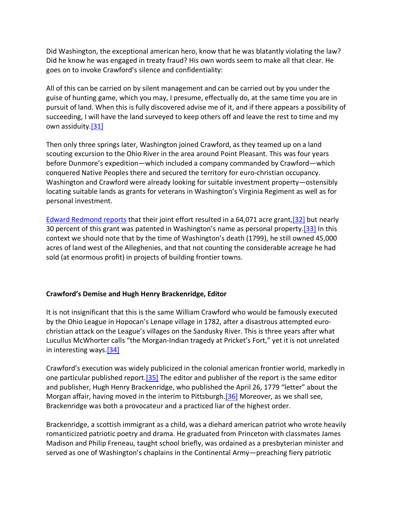Did Washington, the exceptional american hero, know that he was blatantly violating the law? Did he know he was engaged in treaty fraud? His own words seem to make all that clear. He goes on to invoke Crawford's silence and confidentiality:

All of this can be carried on by silent management and can be carried out by you under the guise of hunting game, which you may, I presume, effectually do, at the same time you are in pursuit of land. When this is fully discovered advise me of it, and if there appears a possibility of succeeding, I will have the land surveyed to keep others off and leave the rest to time and my own assiduity.[31]

Then only three springs later, Washington joined Crawford, as they teamed up on a land scouting excursion to the Ohio River in the area around Point Pleasant. This was four years before Dunmore's expedition—which included a company commanded by Crawford—which conquered Native Peoples there and secured the territory for euro-christian occupancy. Washington and Crawford were already looking for suitable investment property—ostensibly locating suitable lands as grants for veterans in Washington's Virginia Regiment as well as for personal investment.

Edward Redmond reports that their joint effort resulted in a 64,071 acre grant,[32] but nearly 30 percent of this grant was patented in Washington's name as personal property.[33] In this context we should note that by the time of Washington's death (1799), he still owned 45,000 acres of land west of the Alleghenies, and that not counting the considerable acreage he had sold (at enormous profit) in projects of building frontier towns.

# **Crawford's Demise and Hugh Henry Brackenridge, Editor**

It is not insignificant that this is the same William Crawford who would be famously executed by the Ohio League in Hopocan's Lenape village in 1782, after a disastrous attempted eurochristian attack on the League's villages on the Sandusky River. This is three years after what Lucullus McWhorter calls "the Morgan-Indian tragedy at Pricket's Fort," yet it is not unrelated in interesting ways.[34]

Crawford's execution was widely publicized in the colonial american frontier world, markedly in one particular published report.[35] The editor and publisher of the report is the same editor and publisher, Hugh Henry Brackenridge, who published the April 26, 1779 "letter" about the Morgan affair, having moved in the interim to Pittsburgh.[36] Moreover, as we shall see, Brackenridge was both a provocateur and a practiced liar of the highest order.

Brackenridge, a scottish immigrant as a child, was a diehard american patriot who wrote heavily romanticized patriotic poetry and drama. He graduated from Princeton with classmates James Madison and Philip Freneau, taught school briefly, was ordained as a presbyterian minister and served as one of Washington's chaplains in the Continental Army—preaching fiery patriotic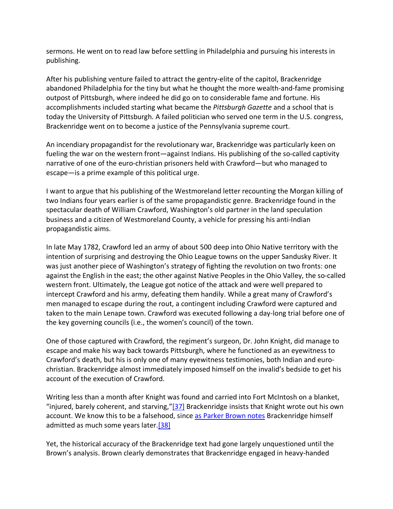sermons. He went on to read law before settling in Philadelphia and pursuing his interests in publishing.

After his publishing venture failed to attract the gentry-elite of the capitol, Brackenridge abandoned Philadelphia for the tiny but what he thought the more wealth-and-fame promising outpost of Pittsburgh, where indeed he did go on to considerable fame and fortune. His accomplishments included starting what became the *Pittsburgh Gazette* and a school that is today the University of Pittsburgh. A failed politician who served one term in the U.S. congress, Brackenridge went on to become a justice of the Pennsylvania supreme court.

An incendiary propagandist for the revolutionary war, Brackenridge was particularly keen on fueling the war on the western front—against Indians. His publishing of the so-called captivity narrative of one of the euro-christian prisoners held with Crawford—but who managed to escape—is a prime example of this political urge.

I want to argue that his publishing of the Westmoreland letter recounting the Morgan killing of two Indians four years earlier is of the same propagandistic genre. Brackenridge found in the spectacular death of William Crawford, Washington's old partner in the land speculation business and a citizen of Westmoreland County, a vehicle for pressing his anti-Indian propagandistic aims.

In late May 1782, Crawford led an army of about 500 deep into Ohio Native territory with the intention of surprising and destroying the Ohio League towns on the upper Sandusky River. It was just another piece of Washington's strategy of fighting the revolution on two fronts: one against the English in the east; the other against Native Peoples in the Ohio Valley, the so-called western front. Ultimately, the League got notice of the attack and were well prepared to intercept Crawford and his army, defeating them handily. While a great many of Crawford's men managed to escape during the rout, a contingent including Crawford were captured and taken to the main Lenape town. Crawford was executed following a day-long trial before one of the key governing councils (i.e., the women's council) of the town.

One of those captured with Crawford, the regiment's surgeon, Dr. John Knight, did manage to escape and make his way back towards Pittsburgh, where he functioned as an eyewitness to Crawford's death, but his is only one of many eyewitness testimonies, both Indian and eurochristian. Brackenridge almost immediately imposed himself on the invalid's bedside to get his account of the execution of Crawford.

Writing less than a month after Knight was found and carried into Fort McIntosh on a blanket, "injured, barely coherent, and starving," $[37]$  Brackenridge insists that Knight wrote out his own account. We know this to be a falsehood, since as Parker Brown notes Brackenridge himself admitted as much some years later.[38]

Yet, the historical accuracy of the Brackenridge text had gone largely unquestioned until the Brown's analysis. Brown clearly demonstrates that Brackenridge engaged in heavy-handed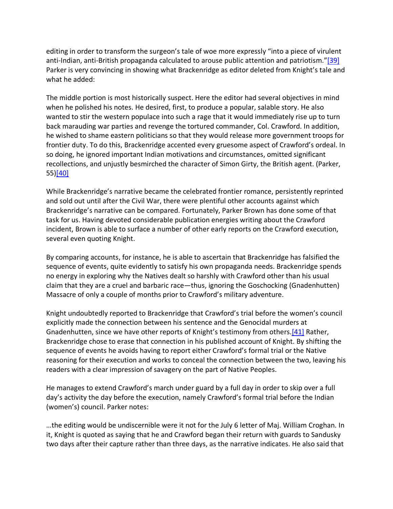editing in order to transform the surgeon's tale of woe more expressly "into a piece of virulent anti-Indian, anti-British propaganda calculated to arouse public attention and patriotism."[39] Parker is very convincing in showing what Brackenridge as editor deleted from Knight's tale and what he added:

The middle portion is most historically suspect. Here the editor had several objectives in mind when he polished his notes. He desired, first, to produce a popular, salable story. He also wanted to stir the western populace into such a rage that it would immediately rise up to turn back marauding war parties and revenge the tortured commander, Col. Crawford. In addition, he wished to shame eastern politicians so that they would release more government troops for frontier duty. To do this, Brackenridge accented every gruesome aspect of Crawford's ordeal. In so doing, he ignored important Indian motivations and circumstances, omitted significant recollections, and unjustly besmirched the character of Simon Girty, the British agent. (Parker, 55)[40]

While Brackenridge's narrative became the celebrated frontier romance, persistently reprinted and sold out until after the Civil War, there were plentiful other accounts against which Brackenridge's narrative can be compared. Fortunately, Parker Brown has done some of that task for us. Having devoted considerable publication energies writing about the Crawford incident, Brown is able to surface a number of other early reports on the Crawford execution, several even quoting Knight.

By comparing accounts, for instance, he is able to ascertain that Brackenridge has falsified the sequence of events, quite evidently to satisfy his own propaganda needs. Brackenridge spends no energy in exploring why the Natives dealt so harshly with Crawford other than his usual claim that they are a cruel and barbaric race—thus, ignoring the Goschocking (Gnadenhutten) Massacre of only a couple of months prior to Crawford's military adventure.

Knight undoubtedly reported to Brackenridge that Crawford's trial before the women's council explicitly made the connection between his sentence and the Genocidal murders at Gnadenhutten, since we have other reports of Knight's testimony from others.[41] Rather, Brackenridge chose to erase that connection in his published account of Knight. By shifting the sequence of events he avoids having to report either Crawford's formal trial or the Native reasoning for their execution and works to conceal the connection between the two, leaving his readers with a clear impression of savagery on the part of Native Peoples.

He manages to extend Crawford's march under guard by a full day in order to skip over a full day's activity the day before the execution, namely Crawford's formal trial before the Indian (women's) council. Parker notes:

…the editing would be undiscernible were it not for the July 6 letter of Maj. William Croghan. In it, Knight is quoted as saying that he and Crawford began their return with guards to Sandusky two days after their capture rather than three days, as the narrative indicates. He also said that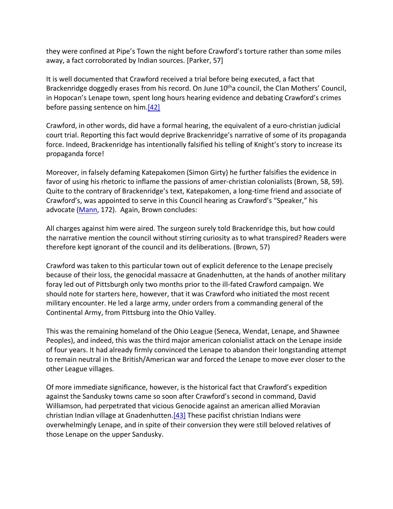they were confined at Pipe's Town the night before Crawford's torture rather than some miles away, a fact corroborated by Indian sources. [Parker, 57]

It is well documented that Crawford received a trial before being executed, a fact that Brackenridge doggedly erases from his record. On June 10<sup>th</sup>a council, the Clan Mothers' Council, in Hopocan's Lenape town, spent long hours hearing evidence and debating Crawford's crimes before passing sentence on him.[42]

Crawford, in other words, did have a formal hearing, the equivalent of a euro-christian judicial court trial. Reporting this fact would deprive Brackenridge's narrative of some of its propaganda force. Indeed, Brackenridge has intentionally falsified his telling of Knight's story to increase its propaganda force!

Moreover, in falsely defaming Katepakomen (Simon Girty) he further falsifies the evidence in favor of using his rhetoric to inflame the passions of amer-christian colonialists (Brown, 58, 59). Quite to the contrary of Brackenridge's text, Katepakomen, a long-time friend and associate of Crawford's, was appointed to serve in this Council hearing as Crawford's "Speaker," his advocate (Mann, 172). Again, Brown concludes:

All charges against him were aired. The surgeon surely told Brackenridge this, but how could the narrative mention the council without stirring curiosity as to what transpired? Readers were therefore kept ignorant of the council and its deliberations. (Brown, 57)

Crawford was taken to this particular town out of explicit deference to the Lenape precisely because of their loss, the genocidal massacre at Gnadenhutten, at the hands of another military foray led out of Pittsburgh only two months prior to the ill-fated Crawford campaign. We should note for starters here, however, that it was Crawford who initiated the most recent military encounter. He led a large army, under orders from a commanding general of the Continental Army, from Pittsburg into the Ohio Valley.

This was the remaining homeland of the Ohio League (Seneca, Wendat, Lenape, and Shawnee Peoples), and indeed, this was the third major american colonialist attack on the Lenape inside of four years. It had already firmly convinced the Lenape to abandon their longstanding attempt to remain neutral in the British/American war and forced the Lenape to move ever closer to the other League villages.

Of more immediate significance, however, is the historical fact that Crawford's expedition against the Sandusky towns came so soon after Crawford's second in command, David Williamson, had perpetrated that vicious Genocide against an american allied Moravian christian Indian village at Gnadenhutten.[43] These pacifist christian Indians were overwhelmingly Lenape, and in spite of their conversion they were still beloved relatives of those Lenape on the upper Sandusky.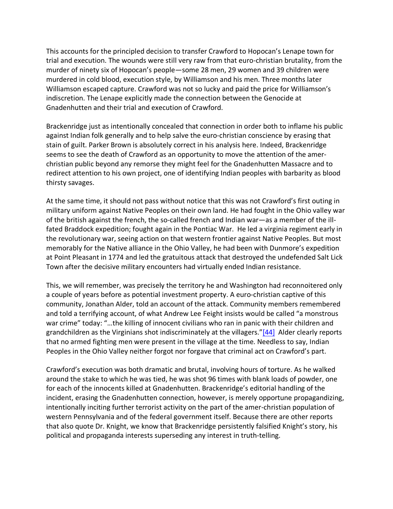This accounts for the principled decision to transfer Crawford to Hopocan's Lenape town for trial and execution. The wounds were still very raw from that euro-christian brutality, from the murder of ninety six of Hopocan's people—some 28 men, 29 women and 39 children were murdered in cold blood, execution style, by Williamson and his men. Three months later Williamson escaped capture. Crawford was not so lucky and paid the price for Williamson's indiscretion. The Lenape explicitly made the connection between the Genocide at Gnadenhutten and their trial and execution of Crawford.

Brackenridge just as intentionally concealed that connection in order both to inflame his public against Indian folk generally and to help salve the euro-christian conscience by erasing that stain of guilt. Parker Brown is absolutely correct in his analysis here. Indeed, Brackenridge seems to see the death of Crawford as an opportunity to move the attention of the amerchristian public beyond any remorse they might feel for the Gnadenhutten Massacre and to redirect attention to his own project, one of identifying Indian peoples with barbarity as blood thirsty savages.

At the same time, it should not pass without notice that this was not Crawford's first outing in military uniform against Native Peoples on their own land. He had fought in the Ohio valley war of the british against the french, the so-called french and Indian war—as a member of the illfated Braddock expedition; fought again in the Pontiac War. He led a virginia regiment early in the revolutionary war, seeing action on that western frontier against Native Peoples. But most memorably for the Native alliance in the Ohio Valley, he had been with Dunmore's expedition at Point Pleasant in 1774 and led the gratuitous attack that destroyed the undefended Salt Lick Town after the decisive military encounters had virtually ended Indian resistance.

This, we will remember, was precisely the territory he and Washington had reconnoitered only a couple of years before as potential investment property. A euro-christian captive of this community, Jonathan Alder, told an account of the attack. Community members remembered and told a terrifying account, of what Andrew Lee Feight insists would be called "a monstrous war crime" today: "…the killing of innocent civilians who ran in panic with their children and grandchildren as the Virginians shot indiscriminately at the villagers."[44] Alder clearly reports that no armed fighting men were present in the village at the time. Needless to say, Indian Peoples in the Ohio Valley neither forgot nor forgave that criminal act on Crawford's part.

Crawford's execution was both dramatic and brutal, involving hours of torture. As he walked around the stake to which he was tied, he was shot 96 times with blank loads of powder, one for each of the innocents killed at Gnadenhutten. Brackenridge's editorial handling of the incident, erasing the Gnadenhutten connection, however, is merely opportune propagandizing, intentionally inciting further terrorist activity on the part of the amer-christian population of western Pennsylvania and of the federal government itself. Because there are other reports that also quote Dr. Knight, we know that Brackenridge persistently falsified Knight's story, his political and propaganda interests superseding any interest in truth-telling.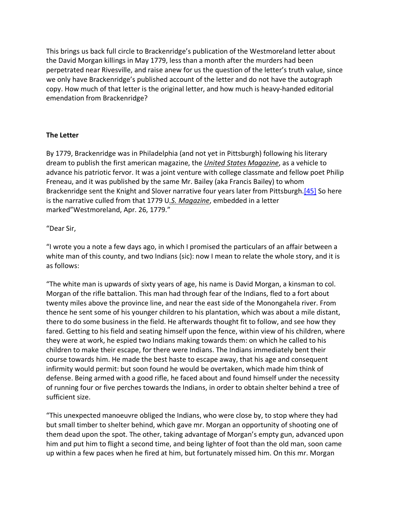This brings us back full circle to Brackenridge's publication of the Westmoreland letter about the David Morgan killings in May 1779, less than a month after the murders had been perpetrated near Rivesville, and raise anew for us the question of the letter's truth value, since we only have Brackenridge's published account of the letter and do not have the autograph copy. How much of that letter is the original letter, and how much is heavy-handed editorial emendation from Brackenridge?

#### **The Letter**

By 1779, Brackenridge was in Philadelphia (and not yet in Pittsburgh) following his literary dream to publish the first american magazine, the *United States Magazine*, as a vehicle to advance his patriotic fervor. It was a joint venture with college classmate and fellow poet Philip Freneau, and it was published by the same Mr. Bailey (aka Francis Bailey) to whom Brackenridge sent the Knight and Slover narrative four years later from Pittsburgh.[45] So here is the narrative culled from that 1779 U*.S. Magazine*, embedded in a letter marked"Westmoreland, Apr. 26, 1779."

#### "Dear Sir,

"I wrote you a note a few days ago, in which I promised the particulars of an affair between a white man of this county, and two Indians (sic): now I mean to relate the whole story, and it is as follows:

"The white man is upwards of sixty years of age, his name is David Morgan, a kinsman to col. Morgan of the rifle battalion. This man had through fear of the Indians, fled to a fort about twenty miles above the province line, and near the east side of the Monongahela river. From thence he sent some of his younger children to his plantation, which was about a mile distant, there to do some business in the field. He afterwards thought fit to follow, and see how they fared. Getting to his field and seating himself upon the fence, within view of his children, where they were at work, he espied two Indians making towards them: on which he called to his children to make their escape, for there were Indians. The Indians immediately bent their course towards him. He made the best haste to escape away, that his age and consequent infirmity would permit: but soon found he would be overtaken, which made him think of defense. Being armed with a good rifle, he faced about and found himself under the necessity of running four or five perches towards the Indians, in order to obtain shelter behind a tree of sufficient size.

"This unexpected manoeuvre obliged the Indians, who were close by, to stop where they had but small timber to shelter behind, which gave mr. Morgan an opportunity of shooting one of them dead upon the spot. The other, taking advantage of Morgan's empty gun, advanced upon him and put him to flight a second time, and being lighter of foot than the old man, soon came up within a few paces when he fired at him, but fortunately missed him. On this mr. Morgan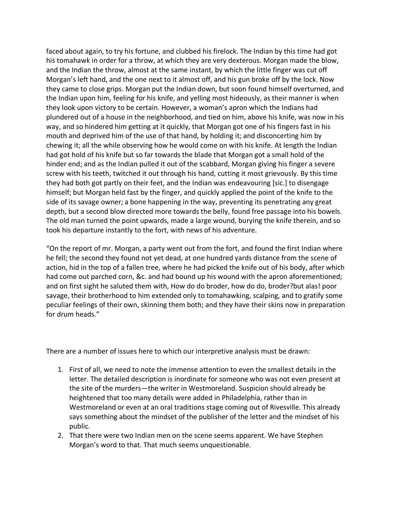faced about again, to try his fortune, and clubbed his firelock. The Indian by this time had got his tomahawk in order for a throw, at which they are very dexterous. Morgan made the blow, and the Indian the throw, almost at the same instant, by which the little finger was cut off Morgan's left hand, and the one next to it almost off, and his gun broke off by the lock. Now they came to close grips. Morgan put the Indian down, but soon found himself overturned, and the Indian upon him, feeling for his knife, and yelling most hideously, as their manner is when they look upon victory to be certain. However, a woman's apron which the Indians had plundered out of a house in the neighborhood, and tied on him, above his knife, was now in his way, and so hindered him getting at it quickly, that Morgan got one of his fingers fast in his mouth and deprived him of the use of that hand, by holding it; and disconcerting him by chewing it; all the while observing how he would come on with his knife. At length the Indian had got hold of his knife but so far towards the blade that Morgan got a small hold of the hinder end; and as the Indian pulled it out of the scabbard, Morgan giving his finger a severe screw with his teeth, twitched it out through his hand, cutting it most grievously. By this time they had both got partly on their feet, and the Indian was endeavouring [sic.] to disengage himself; but Morgan held fast by the finger, and quickly applied the point of the knife to the side of its savage owner; a bone happening in the way, preventing its penetrating any great depth, but a second blow directed more towards the belly, found free passage into his bowels. The old man turned the point upwards, made a large wound, burying the knife therein, and so took his departure instantly to the fort, with news of his adventure.

"On the report of mr. Morgan, a party went out from the fort, and found the first Indian where he fell; the second they found not yet dead, at one hundred yards distance from the scene of action, hid in the top of a fallen tree, where he had picked the knife out of his body, after which had come out parched corn, &c. and had bound up his wound with the apron aforementioned; and on first sight he saluted them with, How do do broder, how do do, broder?but alas! poor savage, their brotherhood to him extended only to tomahawking, scalping, and to gratify some peculiar feelings of their own, skinning them both; and they have their skins now in preparation for drum heads."

There are a number of issues here to which our interpretive analysis must be drawn:

- 1. First of all, we need to note the immense attention to even the smallest details in the letter. The detailed description is inordinate for someone who was not even present at the site of the murders—the writer in Westmoreland. Suspicion should already be heightened that too many details were added in Philadelphia, rather than in Westmoreland or even at an oral traditions stage coming out of Rivesville. This already says something about the mindset of the publisher of the letter and the mindset of his public.
- 2. That there were two Indian men on the scene seems apparent. We have Stephen Morgan's word to that. That much seems unquestionable.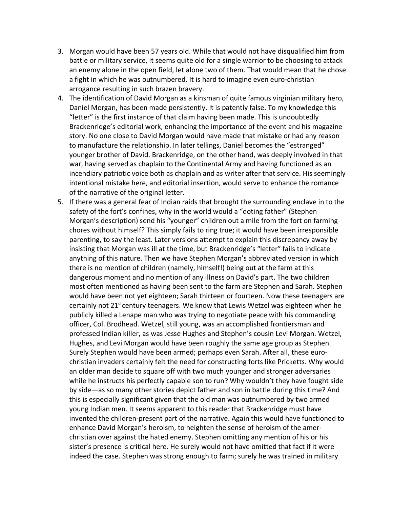- 3. Morgan would have been 57 years old. While that would not have disqualified him from battle or military service, it seems quite old for a single warrior to be choosing to attack an enemy alone in the open field, let alone two of them. That would mean that he chose a fight in which he was outnumbered. It is hard to imagine even euro-christian arrogance resulting in such brazen bravery.
- 4. The identification of David Morgan as a kinsman of quite famous virginian military hero, Daniel Morgan, has been made persistently. It is patently false. To my knowledge this "letter" is the first instance of that claim having been made. This is undoubtedly Brackenridge's editorial work, enhancing the importance of the event and his magazine story. No one close to David Morgan would have made that mistake or had any reason to manufacture the relationship. In later tellings, Daniel becomes the "estranged" younger brother of David. Brackenridge, on the other hand, was deeply involved in that war, having served as chaplain to the Continental Army and having functioned as an incendiary patriotic voice both as chaplain and as writer after that service. His seemingly intentional mistake here, and editorial insertion, would serve to enhance the romance of the narrative of the original letter.
- 5. If there was a general fear of Indian raids that brought the surrounding enclave in to the safety of the fort's confines, why in the world would a "doting father" (Stephen Morgan's description) send his "younger" children out a mile from the fort on farming chores without himself? This simply fails to ring true; it would have been irresponsible parenting, to say the least. Later versions attempt to explain this discrepancy away by insisting that Morgan was ill at the time, but Brackenridge's "letter" fails to indicate anything of this nature. Then we have Stephen Morgan's abbreviated version in which there is no mention of children (namely, himself!) being out at the farm at this dangerous moment and no mention of any illness on David's part. The two children most often mentioned as having been sent to the farm are Stephen and Sarah. Stephen would have been not yet eighteen; Sarah thirteen or fourteen. Now these teenagers are certainly not 21<sup>st</sup>century teenagers. We know that Lewis Wetzel was eighteen when he publicly killed a Lenape man who was trying to negotiate peace with his commanding officer, Col. Brodhead. Wetzel, still young, was an accomplished frontiersman and professed Indian killer, as was Jesse Hughes and Stephen's cousin Levi Morgan. Wetzel, Hughes, and Levi Morgan would have been roughly the same age group as Stephen. Surely Stephen would have been armed; perhaps even Sarah. After all, these eurochristian invaders certainly felt the need for constructing forts like Pricketts. Why would an older man decide to square off with two much younger and stronger adversaries while he instructs his perfectly capable son to run? Why wouldn't they have fought side by side—as so many other stories depict father and son in battle during this time? And this is especially significant given that the old man was outnumbered by two armed young Indian men. It seems apparent to this reader that Brackenridge must have invented the children-present part of the narrative. Again this would have functioned to enhance David Morgan's heroism, to heighten the sense of heroism of the amerchristian over against the hated enemy. Stephen omitting any mention of his or his sister's presence is critical here. He surely would not have omitted that fact if it were indeed the case. Stephen was strong enough to farm; surely he was trained in military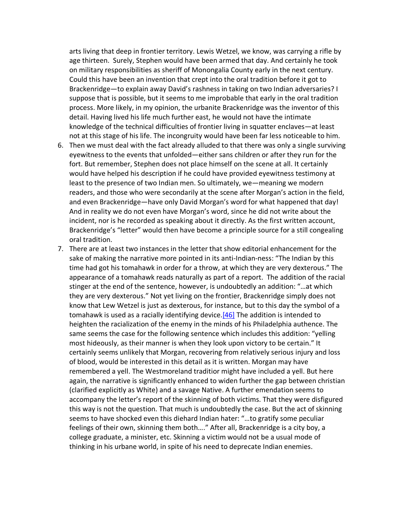arts living that deep in frontier territory. Lewis Wetzel, we know, was carrying a rifle by age thirteen. Surely, Stephen would have been armed that day. And certainly he took on military responsibilities as sheriff of Monongalia County early in the next century. Could this have been an invention that crept into the oral tradition before it got to Brackenridge—to explain away David's rashness in taking on two Indian adversaries? I suppose that is possible, but it seems to me improbable that early in the oral tradition process. More likely, in my opinion, the urbanite Brackenridge was the inventor of this detail. Having lived his life much further east, he would not have the intimate knowledge of the technical difficulties of frontier living in squatter enclaves—at least not at this stage of his life. The incongruity would have been far less noticeable to him.

- 6. Then we must deal with the fact already alluded to that there was only a single surviving eyewitness to the events that unfolded—either sans children or after they run for the fort. But remember, Stephen does not place himself on the scene at all. It certainly would have helped his description if he could have provided eyewitness testimony at least to the presence of two Indian men. So ultimately, we—meaning we modern readers, and those who were secondarily at the scene after Morgan's action in the field, and even Brackenridge—have only David Morgan's word for what happened that day! And in reality we do not even have Morgan's word, since he did not write about the incident, nor is he recorded as speaking about it directly. As the first written account, Brackenridge's "letter" would then have become a principle source for a still congealing oral tradition.
- 7. There are at least two instances in the letter that show editorial enhancement for the sake of making the narrative more pointed in its anti-Indian-ness: "The Indian by this time had got his tomahawk in order for a throw, at which they are very dexterous." The appearance of a tomahawk reads naturally as part of a report. The addition of the racial stinger at the end of the sentence, however, is undoubtedly an addition: "…at which they are very dexterous." Not yet living on the frontier, Brackenridge simply does not know that Lew Wetzel is just as dexterous, for instance, but to this day the symbol of a tomahawk is used as a racially identifying device. [46] The addition is intended to heighten the racialization of the enemy in the minds of his Philadelphia authence. The same seems the case for the following sentence which includes this addition: "yelling most hideously, as their manner is when they look upon victory to be certain." It certainly seems unlikely that Morgan, recovering from relatively serious injury and loss of blood, would be interested in this detail as it is written. Morgan may have remembered a yell. The Westmoreland traditior might have included a yell. But here again, the narrative is significantly enhanced to widen further the gap between christian (clarified explicitly as White) and a savage Native. A further emendation seems to accompany the letter's report of the skinning of both victims. That they were disfigured this way is not the question. That much is undoubtedly the case. But the act of skinning seems to have shocked even this diehard Indian hater: "…to gratify some peculiar feelings of their own, skinning them both…." After all, Brackenridge is a city boy, a college graduate, a minister, etc. Skinning a victim would not be a usual mode of thinking in his urbane world, in spite of his need to deprecate Indian enemies.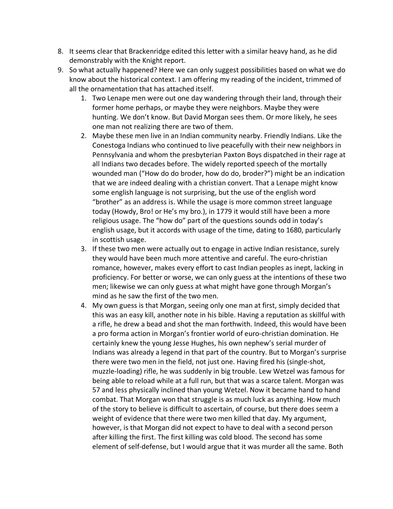- 8. It seems clear that Brackenridge edited this letter with a similar heavy hand, as he did demonstrably with the Knight report.
- 9. So what actually happened? Here we can only suggest possibilities based on what we do know about the historical context. I am offering my reading of the incident, trimmed of all the ornamentation that has attached itself.
	- 1. Two Lenape men were out one day wandering through their land, through their former home perhaps, or maybe they were neighbors. Maybe they were hunting. We don't know. But David Morgan sees them. Or more likely, he sees one man not realizing there are two of them.
	- 2. Maybe these men live in an Indian community nearby. Friendly Indians. Like the Conestoga Indians who continued to live peacefully with their new neighbors in Pennsylvania and whom the presbyterian Paxton Boys dispatched in their rage at all Indians two decades before. The widely reported speech of the mortally wounded man ("How do do broder, how do do, broder?") might be an indication that we are indeed dealing with a christian convert. That a Lenape might know some english language is not surprising, but the use of the english word "brother" as an address is. While the usage is more common street language today (Howdy, Bro! or He's my bro.), in 1779 it would still have been a more religious usage. The "how do" part of the questions sounds odd in today's english usage, but it accords with usage of the time, dating to 1680, particularly in scottish usage.
	- 3. If these two men were actually out to engage in active Indian resistance, surely they would have been much more attentive and careful. The euro-christian romance, however, makes every effort to cast Indian peoples as inept, lacking in proficiency. For better or worse, we can only guess at the intentions of these two men; likewise we can only guess at what might have gone through Morgan's mind as he saw the first of the two men.
	- 4. My own guess is that Morgan, seeing only one man at first, simply decided that this was an easy kill, another note in his bible. Having a reputation as skillful with a rifle, he drew a bead and shot the man forthwith. Indeed, this would have been a pro forma action in Morgan's frontier world of euro-christian domination. He certainly knew the young Jesse Hughes, his own nephew's serial murder of Indians was already a legend in that part of the country. But to Morgan's surprise there were two men in the field, not just one. Having fired his (single-shot, muzzle-loading) rifle, he was suddenly in big trouble. Lew Wetzel was famous for being able to reload while at a full run, but that was a scarce talent. Morgan was 57 and less physically inclined than young Wetzel. Now it became hand to hand combat. That Morgan won that struggle is as much luck as anything. How much of the story to believe is difficult to ascertain, of course, but there does seem a weight of evidence that there were two men killed that day. My argument, however, is that Morgan did not expect to have to deal with a second person after killing the first. The first killing was cold blood. The second has some element of self-defense, but I would argue that it was murder all the same. Both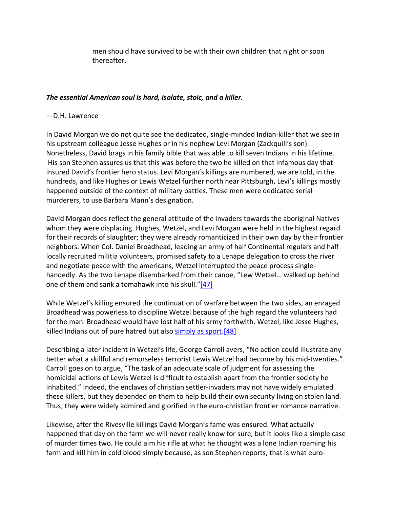men should have survived to be with their own children that night or soon thereafter.

### *The essential American soul is hard, isolate, stoic, and a killer.*

#### —D.H. Lawrence

In David Morgan we do not quite see the dedicated, single-minded Indian-killer that we see in his upstream colleague Jesse Hughes or in his nephew Levi Morgan (Zackquill's son). Nonetheless, David brags in his family bible that was able to kill seven Indians in his lifetime. His son Stephen assures us that this was before the two he killed on that infamous day that insured David's frontier hero status. Levi Morgan's killings are numbered, we are told, in the hundreds, and like Hughes or Lewis Wetzel further north near Pittsburgh, Levi's killings mostly happened outside of the context of military battles. These men were dedicated serial murderers, to use Barbara Mann's designation.

David Morgan does reflect the general attitude of the invaders towards the aboriginal Natives whom they were displacing. Hughes, Wetzel, and Levi Morgan were held in the highest regard for their records of slaughter; they were already romanticized in their own day by their frontier neighbors. When Col. Daniel Broadhead, leading an army of half Continental regulars and half locally recruited militia volunteers, promised safety to a Lenape delegation to cross the river and negotiate peace with the americans, Wetzel interrupted the peace process singlehandedly. As the two Lenape disembarked from their canoe, "Lew Wetzel… walked up behind one of them and sank a tomahawk into his skull."[47]

While Wetzel's killing ensured the continuation of warfare between the two sides, an enraged Broadhead was powerless to discipline Wetzel because of the high regard the volunteers had for the man. Broadhead would have lost half of his army forthwith. Wetzel, like Jesse Hughes, killed Indians out of pure hatred but also simply as sport. [48]

Describing a later incident in Wetzel's life, George Carroll avers, "No action could illustrate any better what a skillful and remorseless terrorist Lewis Wetzel had become by his mid-twenties." Carroll goes on to argue, "The task of an adequate scale of judgment for assessing the homicidal actions of Lewis Wetzel is difficult to establish apart from the frontier society he inhabited." Indeed, the enclaves of christian settler-invaders may not have widely emulated these killers, but they depended on them to help build their own security living on stolen land. Thus, they were widely admired and glorified in the euro-christian frontier romance narrative.

Likewise, after the Rivesville killings David Morgan's fame was ensured. What actually happened that day on the farm we will never really know for sure, but it looks like a simple case of murder times two. He could aim his rifle at what he thought was a lone Indian roaming his farm and kill him in cold blood simply because, as son Stephen reports, that is what euro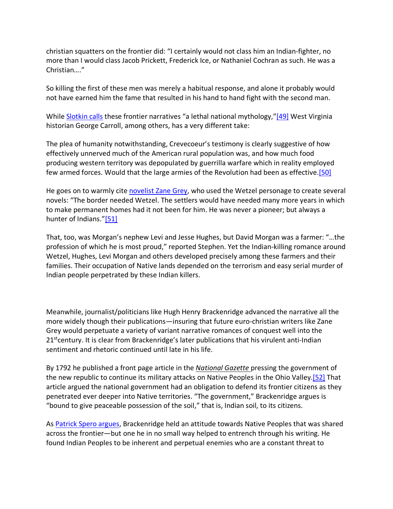christian squatters on the frontier did: "I certainly would not class him an Indian-fighter, no more than I would class Jacob Prickett, Frederick Ice, or Nathaniel Cochran as such. He was a Christian…."

So killing the first of these men was merely a habitual response, and alone it probably would not have earned him the fame that resulted in his hand to hand fight with the second man.

While Slotkin calls these frontier narratives "a lethal national mythology,"[49] West Virginia historian George Carroll, among others, has a very different take:

The plea of humanity notwithstanding, Crevecoeur's testimony is clearly suggestive of how effectively unnerved much of the American rural population was, and how much food producing western territory was depopulated by guerrilla warfare which in reality employed few armed forces. Would that the large armies of the Revolution had been as effective.[50]

He goes on to warmly cite novelist Zane Grey, who used the Wetzel personage to create several novels: "The border needed Wetzel. The settlers would have needed many more years in which to make permanent homes had it not been for him. He was never a pioneer; but always a hunter of Indians."[51]

That, too, was Morgan's nephew Levi and Jesse Hughes, but David Morgan was a farmer: "…the profession of which he is most proud," reported Stephen. Yet the Indian-killing romance around Wetzel, Hughes, Levi Morgan and others developed precisely among these farmers and their families. Their occupation of Native lands depended on the terrorism and easy serial murder of Indian people perpetrated by these Indian killers.

Meanwhile, journalist/politicians like Hugh Henry Brackenridge advanced the narrative all the more widely though their publications—insuring that future euro-christian writers like Zane Grey would perpetuate a variety of variant narrative romances of conquest well into the 21<sup>st</sup>century. It is clear from Brackenridge's later publications that his virulent anti-Indian sentiment and rhetoric continued until late in his life.

By 1792 he published a front page article in the *National Gazette* pressing the government of the new republic to continue its military attacks on Native Peoples in the Ohio Valley.[52] That article argued the national government had an obligation to defend its frontier citizens as they penetrated ever deeper into Native territories. "The government," Brackenridge argues is "bound to give peaceable possession of the soil," that is, Indian soil, to its citizens.

As Patrick Spero argues, Brackenridge held an attitude towards Native Peoples that was shared across the frontier—but one he in no small way helped to entrench through his writing. He found Indian Peoples to be inherent and perpetual enemies who are a constant threat to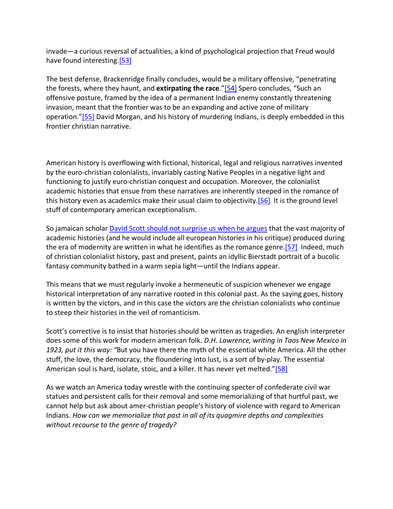invade—a curious reversal of actualities, a kind of psychological projection that Freud would have found interesting.<sup>[53]</sup>

The best defense, Brackenridge finally concludes, would be a military offensive, "penetrating the forests, where they haunt, and **extirpating the race**."[54] Spero concludes, "Such an offensive posture, framed by the idea of a permanent Indian enemy constantly threatening invasion, meant that the frontier was to be an expanding and active zone of military operation."[55] David Morgan, and his history of murdering Indians, is deeply embedded in this frontier christian narrative.

American history is overflowing with fictional, historical, legal and religious narratives invented by the euro-christian colonialists, invariably casting Native Peoples in a negative light and functioning to justify euro-christian conquest and occupation. Moreover, the colonialist academic histories that ensue from these narratives are inherently steeped in the romance of this history even as academics make their usual claim to objectivity.[56] It is the ground level stuff of contemporary american exceptionalism.

So jamaican scholar David Scott should not surprise us when he argues that the vast majority of academic histories (and he would include all european histories in his critique) produced during the era of modernity are written in what he identifies as the romance genre.<sup>[57]</sup> Indeed, much of christian colonialist history, past and present, paints an idyllic Bierstadt portrait of a bucolic fantasy community bathed in a warm sepia light—until the Indians appear.

This means that we must regularly invoke a hermeneutic of suspicion whenever we engage historical interpretation of any narrative rooted in this colonial past. As the saying goes, history is written by the victors, and in this case the victors are the christian colonialists who continue to steep their histories in the veil of romanticism.

Scott's corrective is to insist that histories should be written as tragedies. An english interpreter does some of this work for modern american folk. *D.H. Lawrence, writing in Taos New Mexico in 1923, put it this way: "*But you have there the myth of the essential white America. All the other stuff, the love, the democracy, the floundering into lust, is a sort of by-play. The essential American soul is hard, isolate, stoic, and a killer. It has never yet melted."[58]

As we watch an America today wrestle with the continuing specter of confederate civil war statues and persistent calls for their removal and some memorializing of that hurtful past, we cannot help but ask about amer-christian people's history of violence with regard to American Indians. *How can we memorialize that past in all of its quagmire depths and complexities without recourse to the genre of tragedy?*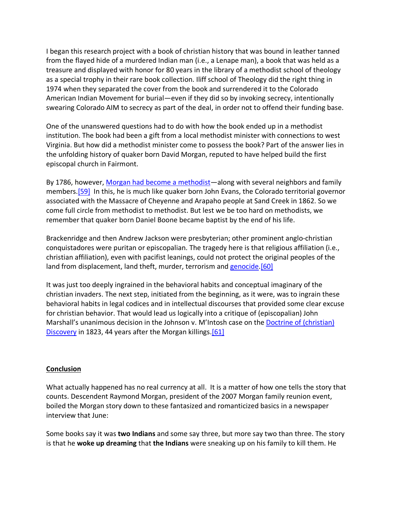I began this research project with a book of christian history that was bound in leather tanned from the flayed hide of a murdered Indian man (i.e., a Lenape man), a book that was held as a treasure and displayed with honor for 80 years in the library of a methodist school of theology as a special trophy in their rare book collection. Iliff school of Theology did the right thing in 1974 when they separated the cover from the book and surrendered it to the Colorado American Indian Movement for burial—even if they did so by invoking secrecy, intentionally swearing Colorado AIM to secrecy as part of the deal, in order not to offend their funding base.

One of the unanswered questions had to do with how the book ended up in a methodist institution. The book had been a gift from a local methodist minister with connections to west Virginia. But how did a methodist minister come to possess the book? Part of the answer lies in the unfolding history of quaker born David Morgan, reputed to have helped build the first episcopal church in Fairmont.

By 1786, however, Morgan had become a methodist—along with several neighbors and family members.[59] In this, he is much like quaker born John Evans, the Colorado territorial governor associated with the Massacre of Cheyenne and Arapaho people at Sand Creek in 1862. So we come full circle from methodist to methodist. But lest we be too hard on methodists, we remember that quaker born Daniel Boone became baptist by the end of his life.

Brackenridge and then Andrew Jackson were presbyterian; other prominent anglo-christian conquistadores were puritan or episcopalian. The tragedy here is that religious affiliation (i.e., christian affiliation), even with pacifist leanings, could not protect the original peoples of the land from displacement, land theft, murder, terrorism and genocide.[60]

It was just too deeply ingrained in the behavioral habits and conceptual imaginary of the christian invaders. The next step, initiated from the beginning, as it were, was to ingrain these behavioral habits in legal codices and in intellectual discourses that provided some clear excuse for christian behavior. That would lead us logically into a critique of (episcopalian) John Marshall's unanimous decision in the Johnson v. M'Intosh case on the Doctrine of (christian) Discovery in 1823, 44 years after the Morgan killings.<sup>[61]</sup>

#### **Conclusion**

What actually happened has no real currency at all. It is a matter of how one tells the story that counts. Descendent Raymond Morgan, president of the 2007 Morgan family reunion event, boiled the Morgan story down to these fantasized and romanticized basics in a newspaper interview that June:

Some books say it was **two Indians** and some say three, but more say two than three. The story is that he **woke up dreaming** that **the Indians** were sneaking up on his family to kill them. He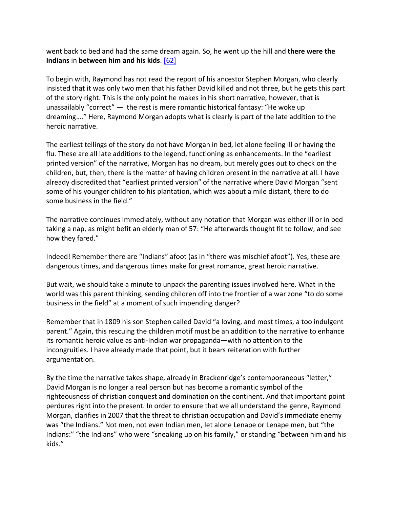went back to bed and had the same dream again. So, he went up the hill and **there were the Indians** in **between him and his kids**. [62]

To begin with, Raymond has not read the report of his ancestor Stephen Morgan, who clearly insisted that it was only two men that his father David killed and not three, but he gets this part of the story right. This is the only point he makes in his short narrative, however, that is unassailably "correct" — the rest is mere romantic historical fantasy: "He woke up dreaming…." Here, Raymond Morgan adopts what is clearly is part of the late addition to the heroic narrative.

The earliest tellings of the story do not have Morgan in bed, let alone feeling ill or having the flu. These are all late additions to the legend, functioning as enhancements. In the "earliest printed version" of the narrative, Morgan has no dream, but merely goes out to check on the children, but, then, there is the matter of having children present in the narrative at all. I have already discredited that "earliest printed version" of the narrative where David Morgan "sent some of his younger children to his plantation, which was about a mile distant, there to do some business in the field."

The narrative continues immediately, without any notation that Morgan was either ill or in bed taking a nap, as might befit an elderly man of 57: "He afterwards thought fit to follow, and see how they fared."

Indeed! Remember there are "Indians" afoot (as in "there was mischief afoot"). Yes, these are dangerous times, and dangerous times make for great romance, great heroic narrative.

But wait, we should take a minute to unpack the parenting issues involved here. What in the world was this parent thinking, sending children off into the frontier of a war zone "to do some business in the field" at a moment of such impending danger?

Remember that in 1809 his son Stephen called David "a loving, and most times, a too indulgent parent." Again, this rescuing the children motif must be an addition to the narrative to enhance its romantic heroic value as anti-Indian war propaganda—with no attention to the incongruities. I have already made that point, but it bears reiteration with further argumentation.

By the time the narrative takes shape, already in Brackenridge's contemporaneous "letter," David Morgan is no longer a real person but has become a romantic symbol of the righteousness of christian conquest and domination on the continent. And that important point perdures right into the present. In order to ensure that we all understand the genre, Raymond Morgan, clarifies in 2007 that the threat to christian occupation and David's immediate enemy was "the Indians." Not men, not even Indian men, let alone Lenape or Lenape men, but "the Indians:" "the Indians" who were "sneaking up on his family," or standing "between him and his kids."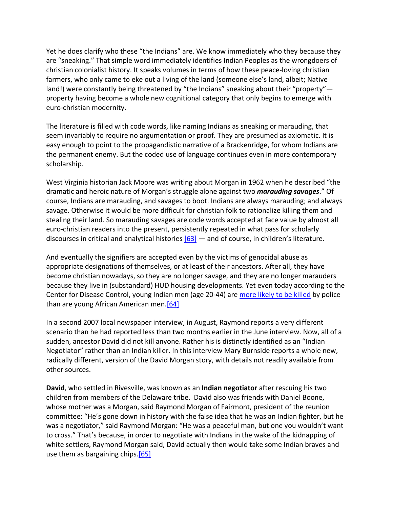Yet he does clarify who these "the Indians" are. We know immediately who they because they are "sneaking." That simple word immediately identifies Indian Peoples as the wrongdoers of christian colonialist history. It speaks volumes in terms of how these peace-loving christian farmers, who only came to eke out a living of the land (someone else's land, albeit; Native land!) were constantly being threatened by "the Indians" sneaking about their "property" property having become a whole new cognitional category that only begins to emerge with euro-christian modernity.

The literature is filled with code words, like naming Indians as sneaking or marauding, that seem invariably to require no argumentation or proof. They are presumed as axiomatic. It is easy enough to point to the propagandistic narrative of a Brackenridge, for whom Indians are the permanent enemy. But the coded use of language continues even in more contemporary scholarship.

West Virginia historian Jack Moore was writing about Morgan in 1962 when he described "the dramatic and heroic nature of Morgan's struggle alone against two *marauding savages*." Of course, Indians are marauding, and savages to boot. Indians are always marauding; and always savage. Otherwise it would be more difficult for christian folk to rationalize killing them and stealing their land. So marauding savages are code words accepted at face value by almost all euro-christian readers into the present, persistently repeated in what pass for scholarly discourses in critical and analytical histories [63] — and of course, in children's literature.

And eventually the signifiers are accepted even by the victims of genocidal abuse as appropriate designations of themselves, or at least of their ancestors. After all, they have become christian nowadays, so they are no longer savage, and they are no longer marauders because they live in (substandard) HUD housing developments. Yet even today according to the Center for Disease Control, young Indian men (age 20-44) are more likely to be killed by police than are young African American men.[64]

In a second 2007 local newspaper interview, in August, Raymond reports a very different scenario than he had reported less than two months earlier in the June interview. Now, all of a sudden, ancestor David did not kill anyone. Rather his is distinctly identified as an "Indian Negotiator" rather than an Indian killer. In this interview Mary Burnside reports a whole new, radically different, version of the David Morgan story, with details not readily available from other sources.

**David**, who settled in Rivesville, was known as an **Indian negotiator** after rescuing his two children from members of the Delaware tribe. David also was friends with Daniel Boone, whose mother was a Morgan, said Raymond Morgan of Fairmont, president of the reunion committee: "He's gone down in history with the false idea that he was an Indian fighter, but he was a negotiator," said Raymond Morgan: "He was a peaceful man, but one you wouldn't want to cross." That's because, in order to negotiate with Indians in the wake of the kidnapping of white settlers, Raymond Morgan said, David actually then would take some Indian braves and use them as bargaining chips.[65]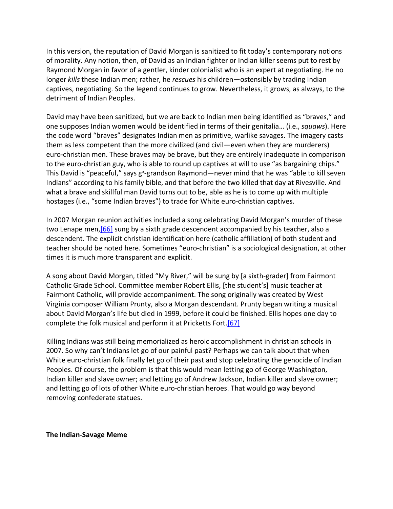In this version, the reputation of David Morgan is sanitized to fit today's contemporary notions of morality. Any notion, then, of David as an Indian fighter or Indian killer seems put to rest by Raymond Morgan in favor of a gentler, kinder colonialist who is an expert at negotiating. He no longer *kills* these Indian men; rather, he *rescues* his children—ostensibly by trading Indian captives, negotiating. So the legend continues to grow. Nevertheless, it grows, as always, to the detriment of Indian Peoples.

David may have been sanitized, but we are back to Indian men being identified as "braves," and one supposes Indian women would be identified in terms of their genitalia… (i.e., *squaws*). Here the code word "braves" designates Indian men as primitive, warlike savages. The imagery casts them as less competent than the more civilized (and civil—even when they are murderers) euro-christian men. These braves may be brave, but they are entirely inadequate in comparison to the euro-christian guy, who is able to round up captives at will to use "as bargaining chips." This David is "peaceful," says g<sup>x</sup>-grandson Raymond—never mind that he was "able to kill seven Indians" according to his family bible, and that before the two killed that day at Rivesville. And what a brave and skillful man David turns out to be, able as he is to come up with multiple hostages (i.e., "some Indian braves") to trade for White euro-christian captives.

In 2007 Morgan reunion activities included a song celebrating David Morgan's murder of these two Lenape men, [66] sung by a sixth grade descendent accompanied by his teacher, also a descendent. The explicit christian identification here (catholic affiliation) of both student and teacher should be noted here. Sometimes "euro-christian" is a sociological designation, at other times it is much more transparent and explicit.

A song about David Morgan, titled "My River," will be sung by [a sixth-grader] from Fairmont Catholic Grade School. Committee member Robert Ellis, [the student's] music teacher at Fairmont Catholic, will provide accompaniment. The song originally was created by West Virginia composer William Prunty, also a Morgan descendant. Prunty began writing a musical about David Morgan's life but died in 1999, before it could be finished. Ellis hopes one day to complete the folk musical and perform it at Pricketts Fort.[67]

Killing Indians was still being memorialized as heroic accomplishment in christian schools in 2007. So why can't Indians let go of our painful past? Perhaps we can talk about that when White euro-christian folk finally let go of their past and stop celebrating the genocide of Indian Peoples. Of course, the problem is that this would mean letting go of George Washington, Indian killer and slave owner; and letting go of Andrew Jackson, Indian killer and slave owner; and letting go of lots of other White euro-christian heroes. That would go way beyond removing confederate statues.

**The Indian-Savage Meme**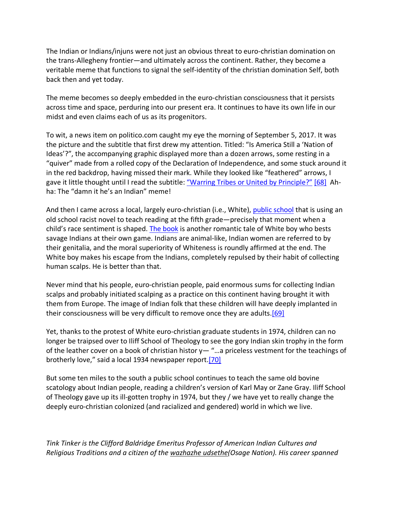The Indian or Indians/injuns were not just an obvious threat to euro-christian domination on the trans-Allegheny frontier—and ultimately across the continent. Rather, they become a veritable meme that functions to signal the self-identity of the christian domination Self, both back then and yet today.

The meme becomes so deeply embedded in the euro-christian consciousness that it persists across time and space, perduring into our present era. It continues to have its own life in our midst and even claims each of us as its progenitors.

To wit, a news item on politico.com caught my eye the morning of September 5, 2017. It was the picture and the subtitle that first drew my attention. Titled: "Is America Still a 'Nation of Ideas'?", the accompanying graphic displayed more than a dozen arrows, some resting in a "quiver" made from a rolled copy of the Declaration of Independence, and some stuck around it in the red backdrop, having missed their mark. While they looked like "feathered" arrows, I gave it little thought until I read the subtitle: "Warring Tribes or United by Principle?" [68] Ahha: The "damn it he's an Indian" meme!

And then I came across a local, largely euro-christian (i.e., White), public school that is using an old school racist novel to teach reading at the fifth grade—precisely that moment when a child's race sentiment is shaped. The book is another romantic tale of White boy who bests savage Indians at their own game. Indians are animal-like, Indian women are referred to by their genitalia, and the moral superiority of Whiteness is roundly affirmed at the end. The White boy makes his escape from the Indians, completely repulsed by their habit of collecting human scalps. He is better than that.

Never mind that his people, euro-christian people, paid enormous sums for collecting Indian scalps and probably initiated scalping as a practice on this continent having brought it with them from Europe. The image of Indian folk that these children will have deeply implanted in their consciousness will be very difficult to remove once they are adults. $[69]$ 

Yet, thanks to the protest of White euro-christian graduate students in 1974, children can no longer be traipsed over to Iliff School of Theology to see the gory Indian skin trophy in the form of the leather cover on a book of christian histor  $y -$  "... a priceless vestment for the teachings of brotherly love," said a local 1934 newspaper report.[70]

But some ten miles to the south a public school continues to teach the same old bovine scatology about Indian people, reading a children's version of Karl May or Zane Gray. Iliff School of Theology gave up its ill-gotten trophy in 1974, but they / we have yet to really change the deeply euro-christian colonized (and racialized and gendered) world in which we live.

*Tink Tinker is the Clifford Baldridge Emeritus Professor of American Indian Cultures and Religious Traditions and a citizen of the wazhazhe udsethe(Osage Nation). His career spanned*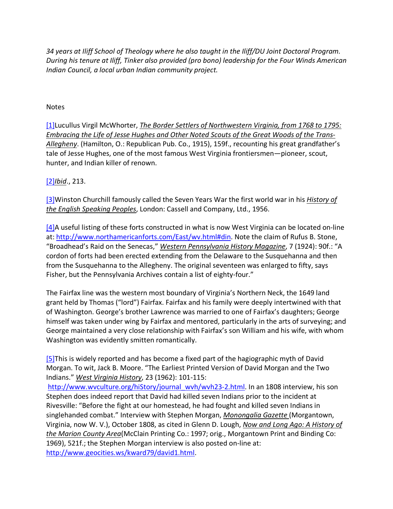*34 years at Iliff School of Theology where he also taught in the Iliff/DU Joint Doctoral Program. During his tenure at Iliff, Tinker also provided (pro bono) leadership for the Four Winds American Indian Council, a local urban Indian community project.*

#### Notes

[1]Lucullus Virgil McWhorter, *The Border Settlers of Northwestern Virginia, from 1768 to 1795: Embracing the Life of Jesse Hughes and Other Noted Scouts of the Great Woods of the Trans-Allegheny*. (Hamilton, O.: Republican Pub. Co., 1915), 159f., recounting his great grandfather's tale of Jesse Hughes, one of the most famous West Virginia frontiersmen—pioneer, scout, hunter, and Indian killer of renown.

#### [2]*Ibid*., 213.

[3]Winston Churchill famously called the Seven Years War the first world war in his *History of the English Speaking Peoples*, London: Cassell and Company, Ltd., 1956.

[4]A useful listing of these forts constructed in what is now West Virginia can be located on-line at: http://www.northamericanforts.com/East/wv.html#din. Note the claim of Rufus B. Stone, "Broadhead's Raid on the Senecas," *Western Pennsylvania History Magazine*, 7 (1924): 90f.: "A cordon of forts had been erected extending from the Delaware to the Susquehanna and then from the Susquehanna to the Allegheny. The original seventeen was enlarged to fifty, says Fisher, but the Pennsylvania Archives contain a list of eighty-four."

The Fairfax line was the western most boundary of Virginia's Northern Neck, the 1649 land grant held by Thomas ("lord") Fairfax. Fairfax and his family were deeply intertwined with that of Washington. George's brother Lawrence was married to one of Fairfax's daughters; George himself was taken under wing by Fairfax and mentored, particularly in the arts of surveying; and George maintained a very close relationship with Fairfax's son William and his wife, with whom Washington was evidently smitten romantically.

[5]This is widely reported and has become a fixed part of the hagiographic myth of David Morgan. To wit, Jack B. Moore. "The Earliest Printed Version of David Morgan and the Two Indians." *West Virginia History*, 23 (1962): 101-115:

http://www.wvculture.org/hiStory/journal\_wvh/wvh23-2.html. In an 1808 interview, his son Stephen does indeed report that David had killed seven Indians prior to the incident at Rivesville: "Before the fight at our homestead, he had fought and killed seven Indians in singlehanded combat." Interview with Stephen Morgan, *Monongalia Gazette* (Morgantown, Virginia, now W. V.), October 1808, as cited in Glenn D. Lough, *Now and Long Ago: A History of the Marion County Area*(McClain Printing Co.: 1997; orig., Morgantown Print and Binding Co: 1969), 521f.; the Stephen Morgan interview is also posted on-line at: http://www.geocities.ws/kward79/david1.html.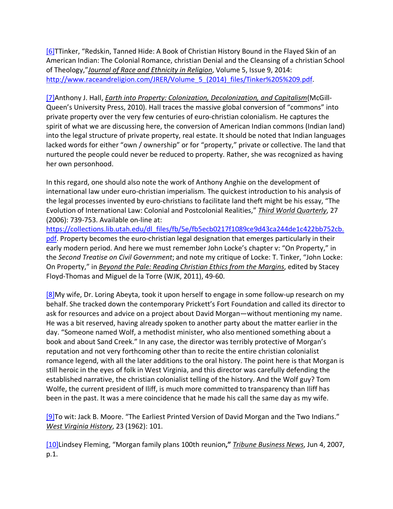[6]TTinker, "Redskin, Tanned Hide: A Book of Christian History Bound in the Flayed Skin of an American Indian: The Colonial Romance, christian Denial and the Cleansing of a christian School of Theology,"*Journal of Race and Ethnicity in Religion*, Volume 5, Issue 9, 2014: http://www.raceandreligion.com/JRER/Volume\_5\_(2014)\_files/Tinker%205%209.pdf.

[7]Anthony J. Hall, *Earth into Property: Colonization, Decolonization, and Capitalism*(McGill-Queen's University Press, 2010). Hall traces the massive global conversion of "commons" into private property over the very few centuries of euro-christian colonialism. He captures the spirit of what we are discussing here, the conversion of American Indian commons (Indian land) into the legal structure of private property, real estate. It should be noted that Indian languages lacked words for either "own / ownership" or for "property," private or collective. The land that nurtured the people could never be reduced to property. Rather, she was recognized as having her own personhood.

In this regard, one should also note the work of Anthony Anghie on the development of international law under euro-christian imperialism. The quickest introduction to his analysis of the legal processes invented by euro-christians to facilitate land theft might be his essay, "The Evolution of International Law: Colonial and Postcolonial Realities," *Third World Quarterly*, 27 (2006): 739-753. Available on-line at:

https://collections.lib.utah.edu/dl\_files/fb/5e/fb5ecb0217f1089ce9d43ca244de1c422bb752cb. pdf. Property becomes the euro-christian legal designation that emerges particularly in their early modern period. And here we must remember John Locke's chapter v: "On Property," in the *Second Treatise on Civil Government*; and note my critique of Locke: T. Tinker, "John Locke: On Property," in *Beyond the Pale: Reading Christian Ethics from the Margins*, edited by Stacey Floyd-Thomas and Miguel de la Torre (WJK, 2011), 49-60.

 $[8]$ My wife, Dr. Loring Abeyta, took it upon herself to engage in some follow-up research on my behalf. She tracked down the contemporary Prickett's Fort Foundation and called its director to ask for resources and advice on a project about David Morgan—without mentioning my name. He was a bit reserved, having already spoken to another party about the matter earlier in the day. "Someone named Wolf, a methodist minister, who also mentioned something about a book and about Sand Creek." In any case, the director was terribly protective of Morgan's reputation and not very forthcoming other than to recite the entire christian colonialist romance legend, with all the later additions to the oral history. The point here is that Morgan is still heroic in the eyes of folk in West Virginia, and this director was carefully defending the established narrative, the christian colonialist telling of the history. And the Wolf guy? Tom Wolfe, the current president of Iliff, is much more committed to transparency than Iliff has been in the past. It was a mere coincidence that he made his call the same day as my wife.

[9] To wit: Jack B. Moore. "The Earliest Printed Version of David Morgan and the Two Indians." *West Virginia History*, 23 (1962): 101.

[10]Lindsey Fleming, "Morgan family plans 100th reunion**,"** *Tribune Business News*, Jun 4, 2007, p.1.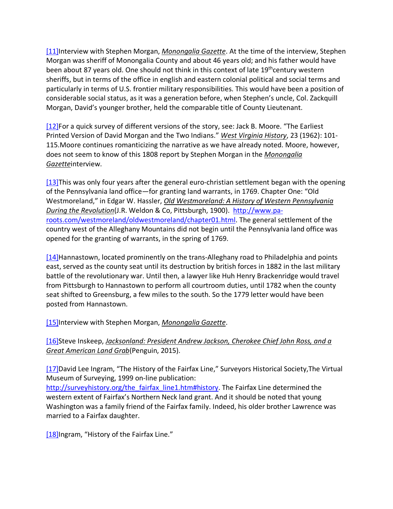[11]Interview with Stephen Morgan, *Monongalia Gazette*. At the time of the interview, Stephen Morgan was sheriff of Monongalia County and about 46 years old; and his father would have been about 87 years old. One should not think in this context of late  $19<sup>th</sup>$ century western sheriffs, but in terms of the office in english and eastern colonial political and social terms and particularly in terms of U.S. frontier military responsibilities. This would have been a position of considerable social status, as it was a generation before, when Stephen's uncle, Col. Zackquill Morgan, David's younger brother, held the comparable title of County Lieutenant.

[12]For a quick survey of different versions of the story, see: Jack B. Moore. "The Earliest Printed Version of David Morgan and the Two Indians." *West Virginia History*, 23 (1962): 101- 115.Moore continues romanticizing the narrative as we have already noted. Moore, however, does not seem to know of this 1808 report by Stephen Morgan in the *Monongalia Gazette*interview.

[13]This was only four years after the general euro-christian settlement began with the opening of the Pennsylvania land office—for granting land warrants, in 1769. Chapter One: "Old Westmoreland," in Edgar W. Hassler, *Old Westmoreland: A History of Western Pennsylvania During the Revolution*(J.R. Weldon & Co, Pittsburgh, 1900). http://www.paroots.com/westmoreland/oldwestmoreland/chapter01.html. The general settlement of the country west of the Alleghany Mountains did not begin until the Pennsylvania land office was opened for the granting of warrants, in the spring of 1769.

[14]Hannastown, located prominently on the trans-Alleghany road to Philadelphia and points east, served as the county seat until its destruction by british forces in 1882 in the last military battle of the revolutionary war. Until then, a lawyer like Huh Henry Brackenridge would travel from Pittsburgh to Hannastown to perform all courtroom duties, until 1782 when the county seat shifted to Greensburg, a few miles to the south. So the 1779 letter would have been posted from Hannastown.

[15]Interview with Stephen Morgan, *Monongalia Gazette*.

[16]Steve Inskeep, *Jacksonland: President Andrew Jackson, Cherokee Chief John Ross, and a Great American Land Grab*(Penguin, 2015).

[17]David Lee Ingram, "The History of the Fairfax Line," Surveyors Historical Society,The Virtual Museum of Surveying, 1999 on-line publication:

http://surveyhistory.org/the\_fairfax\_line1.htm#history. The Fairfax Line determined the western extent of Fairfax's Northern Neck land grant. And it should be noted that young Washington was a family friend of the Fairfax family. Indeed, his older brother Lawrence was married to a Fairfax daughter.

[18] Ingram, "History of the Fairfax Line."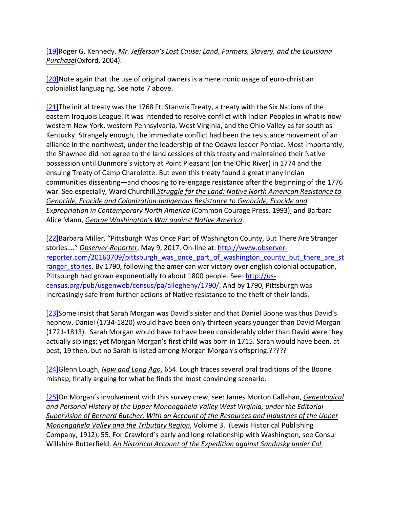[19]Roger G. Kennedy, *Mr. Jefferson's Lost Cause: Land, Farmers, Slavery, and the Louisiana Purchase*(Oxford, 2004).

[20]Note again that the use of original owners is a mere ironic usage of euro-christian colonialist languaging. See note 7 above.

[21]The initial treaty was the 1768 Ft. Stanwix Treaty, a treaty with the Six Nations of the eastern Iroquois League. It was intended to resolve conflict with Indian Peoples in what is now western New York, western Pennsylvania, West Virginia, and the Ohio Valley as far south as Kentucky. Strangely enough, the immediate conflict had been the resistance movement of an alliance in the northwest, under the leadership of the Odawa leader Pontiac. Most importantly, the Shawnee did not agree to the land cessions of this treaty and maintained their Native possession until Dunmore's victory at Point Pleasant (on the Ohio River) in 1774 and the ensuing Treaty of Camp Charolette. But even this treaty found a great many Indian communities dissenting—and choosing to re-engage resistance after the beginning of the 1776 war. See especially, Ward Churchill,*Struggle for the Land: Native North American Resistance to Genocide, Ecocide and Colonization:Indigenous Resistance to Genocide, Ecocide and Expropriation in Contemporary North America* (Common Courage Press, 1993); and Barbara Alice Mann, *George Washington's War against Native America*.

[22]Barbara Miller, "Pittsburgh Was Once Part of Washington County, But There Are Stranger stories…." *Observer-Reporter*, May 9, 2017. On-line at: http://www.observerreporter.com/20160709/pittsburgh\_was\_once\_part\_of\_washington\_county\_but\_there\_are\_st ranger stories. By 1790, following the american war victory over english colonial occupation, Pittsburgh had grown exponentially to about 1800 people. See: http://uscensus.org/pub/usgenweb/census/pa/allegheny/1790/. And by 1790, Pittsburgh was increasingly safe from further actions of Native resistance to the theft of their lands.

[23]Some insist that Sarah Morgan was David's sister and that Daniel Boone was thus David's nephew. Daniel (1734-1820) would have been only thirteen years younger than David Morgan (1721-1813). Sarah Morgan would have to have been considerably older than David were they actually siblings; yet Morgan Morgan's first child was born in 1715. Sarah would have been, at best, 19 then, but no Sarah is listed among Morgan Morgan's offspring.?????

[24]Glenn Lough, *Now and Long Ago*, 654. Lough traces several oral traditions of the Boone mishap, finally arguing for what he finds the most convincing scenario.

[25]On Morgan's involvement with this survey crew, see: James Morton Callahan, *Genealogical and Personal History of the Upper Monongahela Valley West Virginia, under the Editorial Supervision of Bernard Butcher: With an Account of the Resources and Industries of the Upper Monongahela Valley and the Tributary Region*, Volume 3. (Lewis Historical Publishing Company, 1912), 55. For Crawford's early and long relationship with Washington, see Consul Willshire Butterfield, *An Historical Account of the Expedition against Sandusky under Col.*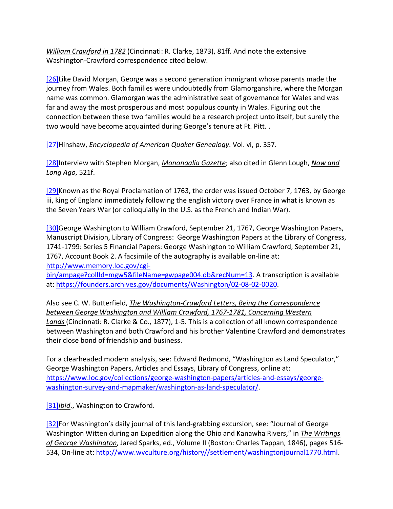*William Crawford in 1782* (Cincinnati: R. Clarke, 1873), 81ff. And note the extensive Washington-Crawford correspondence cited below.

[26]Like David Morgan, George was a second generation immigrant whose parents made the journey from Wales. Both families were undoubtedly from Glamorganshire, where the Morgan name was common. Glamorgan was the administrative seat of governance for Wales and was far and away the most prosperous and most populous county in Wales. Figuring out the connection between these two families would be a research project unto itself, but surely the two would have become acquainted during George's tenure at Ft. Pitt. .

[27]Hinshaw, *Encyclopedia of American Quaker Genealogy*. Vol. vi, p. 357.

[28]Interview with Stephen Morgan, *Monongalia Gazette*; also cited in Glenn Lough, *Now and Long Ago*, 521f.

[29]Known as the Royal Proclamation of 1763, the order was issued October 7, 1763, by George iii, king of England immediately following the english victory over France in what is known as the Seven Years War (or colloquially in the U.S. as the French and Indian War).

[30]George Washington to William Crawford, September 21, 1767, George Washington Papers, Manuscript Division, Library of Congress: George Washington Papers at the Library of Congress, 1741-1799: Series 5 Financial Papers: George Washington to William Crawford, September 21, 1767, Account Book 2. A facsimile of the autography is available on-line at: http://www.memory.loc.gov/cgi-

bin/ampage?collId=mgw5&fileName=gwpage004.db&recNum=13. A transcription is available at: https://founders.archives.gov/documents/Washington/02-08-02-0020.

Also see C. W. Butterfield, *The Washington-Crawford Letters, Being the Correspondence between George Washington and William Crawford, 1767-1781, Concerning Western Lands* (Cincinnati: R. Clarke & Co., 1877), 1-5. This is a collection of all known correspondence between Washington and both Crawford and his brother Valentine Crawford and demonstrates their close bond of friendship and business.

For a clearheaded modern analysis, see: Edward Redmond, "Washington as Land Speculator," George Washington Papers, Articles and Essays, Library of Congress, online at: https://www.loc.gov/collections/george-washington-papers/articles-and-essays/georgewashington-survey-and-mapmaker/washington-as-land-speculator/.

[31]*Ibid*., Washington to Crawford.

[32]For Washington's daily journal of this land-grabbing excursion, see: "Journal of George Washington Witten during an Expedition along the Ohio and Kanawha Rivers," in *The Writings of George Washington*, Jared Sparks, ed., Volume II (Boston: Charles Tappan, 1846), pages 516- 534, On-line at: http://www.wvculture.org/history//settlement/washingtonjournal1770.html.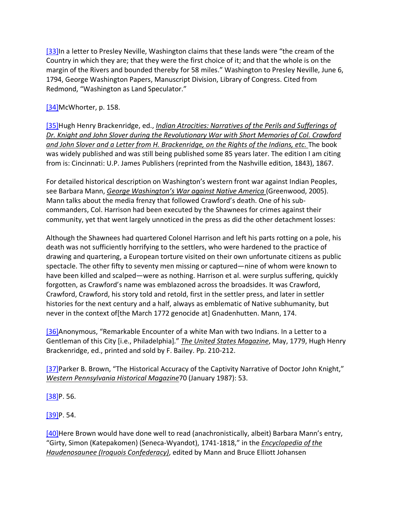[33]In a letter to Presley Neville, Washington claims that these lands were "the cream of the Country in which they are; that they were the first choice of it; and that the whole is on the margin of the Rivers and bounded thereby for 58 miles." Washington to Presley Neville, June 6, 1794, George Washington Papers, Manuscript Division, Library of Congress. Cited from Redmond, "Washington as Land Speculator."

# [34] McWhorter, p. 158.

[35]Hugh Henry Brackenridge, ed., *Indian Atrocities: Narratives of the Perils and Sufferings of Dr. Knight and John Slover during the Revolutionary War with Short Memories of Col. Crawford and John Slover and a Letter from H. Brackenridge, on the Rights of the Indians, etc.* The book was widely published and was still being published some 85 years later. The edition I am citing from is: Cincinnati: U.P. James Publishers (reprinted from the Nashville edition, 1843), 1867.

For detailed historical description on Washington's western front war against Indian Peoples, see Barbara Mann, *George Washington's War against Native America* (Greenwood, 2005). Mann talks about the media frenzy that followed Crawford's death. One of his subcommanders, Col. Harrison had been executed by the Shawnees for crimes against their community, yet that went largely unnoticed in the press as did the other detachment losses:

Although the Shawnees had quartered Colonel Harrison and left his parts rotting on a pole, his death was not sufficiently horrifying to the settlers, who were hardened to the practice of drawing and quartering, a European torture visited on their own unfortunate citizens as public spectacle. The other fifty to seventy men missing or captured—nine of whom were known to have been killed and scalped—were as nothing. Harrison et al. were surplus suffering, quickly forgotten, as Crawford's name was emblazoned across the broadsides. It was Crawford, Crawford, Crawford, his story told and retold, first in the settler press, and later in settler histories for the next century and a half, always as emblematic of Native subhumanity, but never in the context of[the March 1772 genocide at] Gnadenhutten. Mann, 174.

[36]Anonymous, "Remarkable Encounter of a white Man with two Indians. In a Letter to a Gentleman of this City [i.e., Philadelphia]." *The United States Magazine*, May, 1779, Hugh Henry Brackenridge, ed., printed and sold by F. Bailey. Pp. 210-212.

[37]Parker B. Brown, "The Historical Accuracy of the Captivity Narrative of Doctor John Knight," *Western Pennsylvania Historical Magazine*70 (January 1987): 53.

 $[38]P. 56.$ 

 $[39]P. 54.$ 

[40]Here Brown would have done well to read (anachronistically, albeit) Barbara Mann's entry, "Girty, Simon (Katepakomen) (Seneca-Wyandot), 1741-1818," in the *Encyclopedia of the Haudenosaunee (Iroquois Confederacy)*, edited by Mann and Bruce Elliott Johansen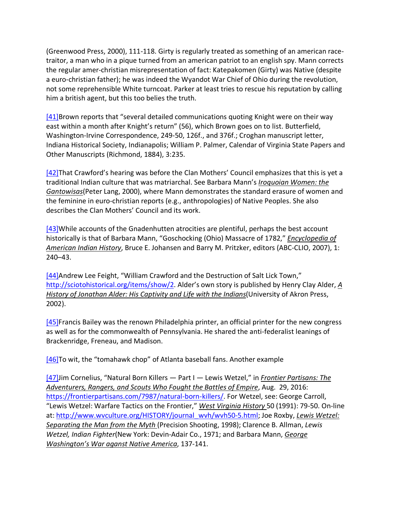(Greenwood Press, 2000), 111-118. Girty is regularly treated as something of an american racetraitor, a man who in a pique turned from an american patriot to an english spy. Mann corrects the regular amer-christian misrepresentation of fact: Katepakomen (Girty) was Native (despite a euro-christian father); he was indeed the Wyandot War Chief of Ohio during the revolution, not some reprehensible White turncoat. Parker at least tries to rescue his reputation by calling him a british agent, but this too belies the truth.

[41]Brown reports that "several detailed communications quoting Knight were on their way east within a month after Knight's return" (56), which Brown goes on to list. Butterfield, Washington-Irvine Correspondence, 249-50, 126f., and 376f.; Croghan manuscript letter, Indiana Historical Society, Indianapolis; William P. Palmer, Calendar of Virginia State Papers and Other Manuscripts (Richmond, 1884), 3:235.

[42] That Crawford's hearing was before the Clan Mothers' Council emphasizes that this is yet a traditional Indian culture that was matriarchal. See Barbara Mann's *Iroquoian Women: the Gantowisas*(Peter Lang, 2000), where Mann demonstrates the standard erasure of women and the feminine in euro-christian reports (e.g., anthropologies) of Native Peoples. She also describes the Clan Mothers' Council and its work.

[43]While accounts of the Gnadenhutten atrocities are plentiful, perhaps the best account historically is that of Barbara Mann, "Goschocking (Ohio) Massacre of 1782," *Encyclopedia of American Indian History*, Bruce E. Johansen and Barry M. Pritzker, editors (ABC-CLIO, 2007), 1: 240–43.

[44]Andrew Lee Feight, "William Crawford and the Destruction of Salt Lick Town," http://sciotohistorical.org/items/show/2. Alder's own story is published by Henry Clay Alder, *A History of Jonathan Alder: His Captivity and Life with the Indians*(University of Akron Press, 2002).

[45]Francis Bailey was the renown Philadelphia printer, an official printer for the new congress as well as for the commonwealth of Pennsylvania. He shared the anti-federalist leanings of Brackenridge, Freneau, and Madison.

[46]To wit, the "tomahawk chop" of Atlanta baseball fans. Another example

[47]Jim Cornelius, "Natural Born Killers — Part I — Lewis Wetzel," in *Frontier Partisans: The Adventurers, Rangers, and Scouts Who Fought the Battles of Empire*, Aug. 29, 2016: https://frontierpartisans.com/7987/natural-born-killers/. For Wetzel, see: George Carroll, "Lewis Wetzel: Warfare Tactics on the Frontier," *West Virginia History* 50 (1991): 79-50. On-line at: http://www.wvculture.org/HISTORY/journal\_wvh/wvh50-5.html; Joe Roxby, *Lewis Wetzel: Separating the Man from the Myth* (Precision Shooting, 1998); Clarence B. Allman, *Lewis Wetzel, Indian Fighter*(New York: Devin-Adair Co., 1971; and Barbara Mann, *George Washington's War aganst Native America*, 137-141.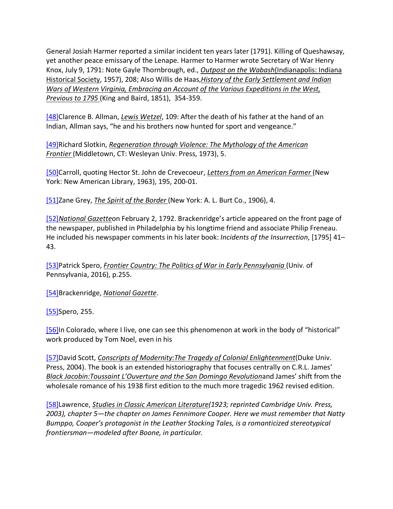General Josiah Harmer reported a similar incident ten years later (1791). Killing of Queshawsay, yet another peace emissary of the Lenape. Harmer to Harmer wrote Secretary of War Henry Knox, July 9, 1791: Note Gayle Thornbrough, ed., *Outpost on the Wabash*(Indianapolis: Indiana Historical Society, 1957), 208; Also Willis de Haas,*History of the Early Settlement and Indian Wars of Western Virginia, Embracing an Account of the Various Expeditions in the West, Previous to 1795* (King and Baird, 1851), 354-359.

[48]Clarence B. Allman, *Lewis Wetzel*, 109: After the death of his father at the hand of an Indian, Allman says, "he and his brothers now hunted for sport and vengeance."

[49]Richard Slotkin, *Regeneration through Violence: The Mythology of the American Frontier* (Middletown, CT: Wesleyan Univ. Press, 1973), 5.

[50]Carroll, quoting Hector St. John de Crevecoeur, *Letters from an American Farmer* (New York: New American Library, 1963), 195, 200-01.

[51]Zane Grey, *The Spirit of the Border* (New York: A. L. Burt Co., 1906), 4.

[52]*National Gazette*on February 2, 1792. Brackenridge's article appeared on the front page of the newspaper, published in Philadelphia by his longtime friend and associate Philip Freneau. He included his newspaper comments in his later book: *Incidents of the Insurrection*, [1795] 41– 43.

[53]Patrick Spero, *Frontier Country: The Politics of War in Early Pennsylvania* (Univ. of Pennsylvania, 2016), p.255.

[54]Brackenridge, *National Gazette*.

[55]Spero, 255.

[56]In Colorado, where I live, one can see this phenomenon at work in the body of "historical" work produced by Tom Noel, even in his

[57]David Scott, *Conscripts of Modernity:The Tragedy of Colonial Enlightenment*(Duke Univ. Press, 2004). The book is an extended historiography that focuses centrally on C.R.L. James' *Black Jacobin:Toussaint L'Ouverture and the San Domingo Revolution*and James' shift from the wholesale romance of his 1938 first edition to the much more tragedic 1962 revised edition.

[58]Lawrence, *Studies in Classic American Literature(1923; reprinted Cambridge Univ. Press, 2003), chapter 5—the chapter on James Fennimore Cooper. Here we must remember that Natty Bumppo, Cooper's protagonist in the Leather Stocking Tales, is a romanticized stereotypical frontiersman—modeled after Boone, in particular.*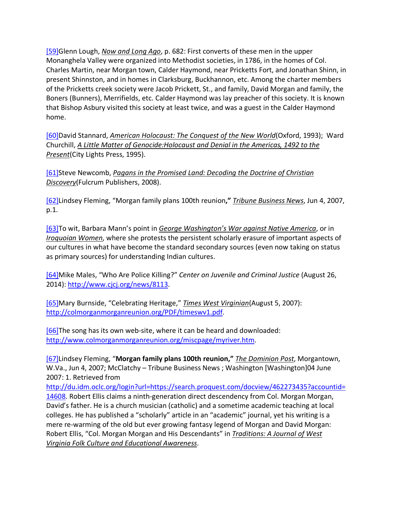[59]Glenn Lough, *Now and Long Ago*, p. 682: First converts of these men in the upper Monanghela Valley were organized into Methodist societies, in 1786, in the homes of Col. Charles Martin, near Morgan town, Calder Haymond, near Pricketts Fort, and Jonathan Shinn, in present Shinnston, and in homes in Clarksburg, Buckhannon, etc. Among the charter members of the Pricketts creek society were Jacob Prickett, St., and family, David Morgan and family, the Boners (Bunners), Merrifields, etc. Calder Haymond was lay preacher of this society. It is known that Bishop Asbury visited this society at least twice, and was a guest in the Calder Haymond home.

[60]David Stannard, *American Holocaust: The Conquest of the New World*(Oxford, 1993); Ward Churchill, *A Little Matter of Genocide:Holocaust and Denial in the Americas, 1492 to the Present*(City Lights Press, 1995).

[61]Steve Newcomb, *Pagans in the Promised Land: Decoding the Doctrine of Christian Discovery*(Fulcrum Publishers, 2008).

[62]Lindsey Fleming, "Morgan family plans 100th reunion**,"** *Tribune Business News*, Jun 4, 2007, p.1.

[63]To wit, Barbara Mann's point in *George Washington's War against Native America*, or in *Iroquoian Women*, where she protests the persistent scholarly erasure of important aspects of our cultures in what have become the standard secondary sources (even now taking on status as primary sources) for understanding Indian cultures.

[64]Mike Males, "Who Are Police Killing?" *Center on Juvenile and Criminal Justice* (August 26, 2014): http://www.cjcj.org/news/8113.

[65]Mary Burnside, "Celebrating Heritage," *Times West Virginian*(August 5, 2007): http://colmorganmorganreunion.org/PDF/timeswv1.pdf.

[66]The song has its own web-site, where it can be heard and downloaded: http://www.colmorganmorganreunion.org/miscpage/myriver.htm.

[67]Lindsey Fleming, "**Morgan family plans 100th reunion,"** *The Dominion Post*, Morgantown, W.Va., Jun 4, 2007; McClatchy – Tribune Business News ; Washington [Washington]04 June 2007: 1. Retrieved from

http://du.idm.oclc.org/login?url=https://search.proquest.com/docview/462273435?accountid= 14608. Robert Ellis claims a ninth-generation direct descendency from Col. Morgan Morgan, David's father. He is a church musician (catholic) and a sometime academic teaching at local colleges. He has published a "scholarly" article in an "academic" journal, yet his writing is a mere re-warming of the old but ever growing fantasy legend of Morgan and David Morgan: Robert Ellis, "Col. Morgan Morgan and His Descendants" in *Traditions: A Journal of West Virginia Folk Culture and Educational Awareness*.